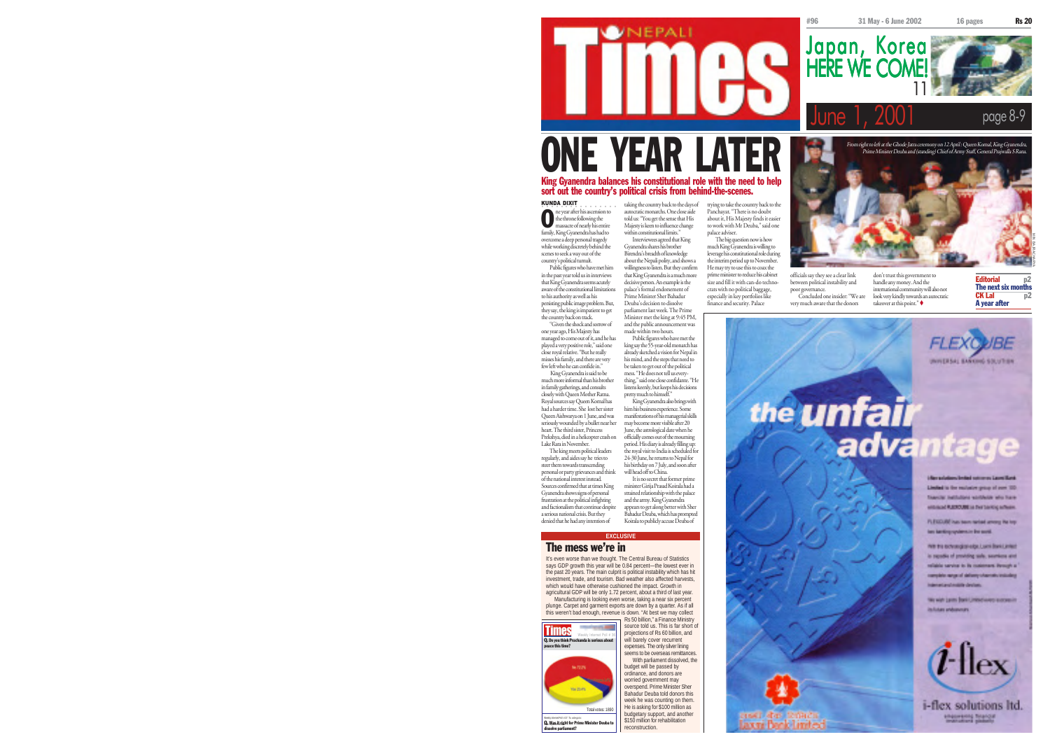11

From right to left at the Ghode Jatra ceremony on 12 April : Queen Komal, King Gyanendra, Prime Minister Deuba and (standing) Chief of Army Staff, General Prajwalla S Rana.

Japan, Korea<br>HERE WE COME!

page 8-9

# ONE YEAR LATER

## KUNDA DIXIT King Gyanendra balances his constitutional role with the need to help sort out the country's political crisis from behind-the-scenes.

**OVNEPALI** 

○○○○○○○○○○○○○○○○ **O** he throne following the<br>massacre of nearly his entire massacre of nearly his entire family, King Gyanendra has had to overcome a deep personal tragedy while working discretely behind the taking the country back to the days of autocratic monarchs. One close aide told us: "You get the sense that His

country's political tumult.

the country back on track.

scenes to seek a way out of the Public figures who have met him in the past year told us in interviews that King Gyanendra seems acutely aware of the constitutional limitations to his authority as well as his persisting public image problem. But, they say, the king is impatient to get "Given the shock and sorrow of Deuba's decision to dissolve

one year ago, His Majesty has managed to come out of it, and he has played a very positive role," said one close royal relative. "But he really misses his family, and there are very few left who he can confide in." King Gyanendra is said to be made within two hours. listens keenly, but keeps his decisions

will head off to China.

trying to take the country back to the Panchayat. "There is no doubt about it, His Majesty finds it easier to work with Mr Deuba," said one palace adviser.

A

much King Gyanendra is willing to leverage his constitutional role during the interim period up to November. He may try to use this to coax the prime minister to reduce his cabinet size and fill it with can-do technocrats with no political baggage, especially in key portfolios like finance and security. Palace

The big question now is how

officials say they see a clear link between political instability and poor governance. Concluded one insider: "We are very much aware that the donors

don't trust this government to handle any money. And the international community will also not look very kindly towards an autocratic takeover at this point."

Editorial p<sub>2</sub> The next six months CK Lal p2 A year after

MIN BAJRACHARYA



We wish jurist Bank United investments in italistas andusvoum



i-flex solutions ltd. *Allgaments Standard* 

much more informal than his brother in family gatherings, and consults closely with Queen Mother Ratna. Royal sources say Queen Komal has had a harder time. She lost her sister Queen Aishwarya on 1 June, and was seriously wounded by a bullet near her heart. The third sister, Princess Prekshya, died in a helicopter crash on Lake Rara in November. The king meets political leaders regularly, and aides say he tries to steer them towards transcending personal or party grievances and think of the national interest instead. Sources confirmed that at times King pretty much to himself."

Gyanendra shows signs of personal frustration at the political infighting and factionalism that continue despite a serious national crisis. But they denied that he had any intention of

#### The mess we're in

dissolve parliament?

Weekly Internet Poll # 37. To vote go to: www.nepalitimes.com

It's even worse than we thought. The Central Bureau of Statistics says GDP growth this year will be 0.84 percent—the lowest ever in the past 20 years. The main culprit is political instability which has hit investment, trade, and tourism. Bad weather also affected harvests, which would have otherwise cushioned the impact. Growth in agricultural GDP will be only 1.72 percent, about a third of last year. Manufacturing is looking even worse, taking a near six percent plunge. Carpet and garment exports are down by a quarter. As if all this weren't bad enough, revenue is down. "At best we may collect

> source told us. This is far short of projections of Rs 60 billion, and will barely cover recurrent expenses. The only silver lining

With parliament dissolved, the budget will be passed by ordinance, and donors are worried government may overspend. Prime Minister Sher Bahadur Deuba told donors this week he was counting on them. He is asking for \$100 million as budgetary support, and another \$150 million for rehabilitation

Majesty is keen to influence change within constitutional limits." Interviewees agreed that King Gyanendra shares his brother Birendra's breadth of knowledge about the Nepali polity, and shows a willingness to listen. But they confirm that King Gyanendra is a much more decisive person. An example is the palace's formal endorsement of Prime Minister Sher Bahadur

Public figures who have met the king say the 55-year-old monarch has already sketched a vision for Nepal in his mind, and the steps that need to be taken to get out of the political mess. "He does not tell us everything," said one close confidante. "He

the royal visit to India is scheduled for

**EXCLUSIV** 



Q. Was it right for Prime Minister Deuba to Total votes: 1890 seems to be overseas remittances. reconstruction.

parliament last week. The Prime Minister met the king at 9:45 PM, and the public announcement was

King Gyanendra also brings with him his business experience. Some manifestations of his managerial skills may become more visible after 20 June, the astrological date when he officially comes out of the mourning period. His diary is already filling up

24-30 June, he returns to Nepal for his birthday on 7 July, and soon after It is no secret that former print

strained relationship with the palace and the army. King Gyanendra appears to get along better with Sher Bahadur Deuba, which has prompted Koirala to publicly accuse Deuba of



**DESCRIPTION** 

Jaxni Benk-limtex

minister Girija Prasad Koirala had a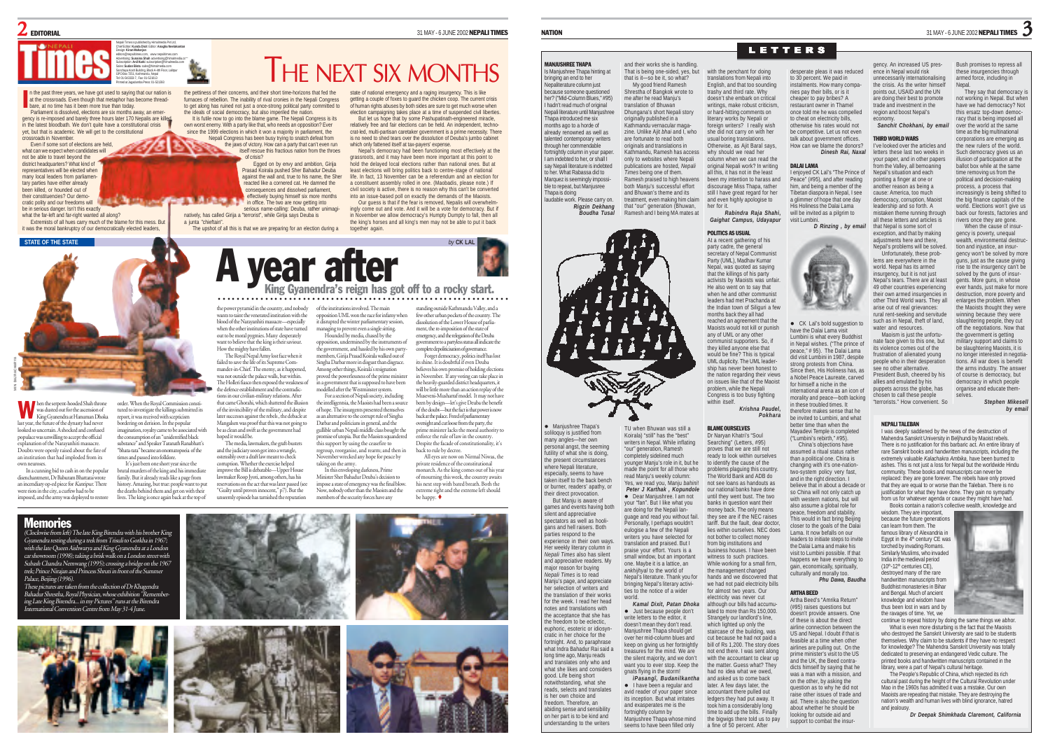

n the past three years, we have got used to saying that our nation is at the crossroads. Even though that metaphor has become threadn the past three years, we have got used to saying<br>at the crossroads. Even though that metaphor has<br>bare, at no time has it been more true than today.

Parliament is dissolved, elections are six months away, an emergency is re-imposed and barely three hours later 170 Nepalis are killed in the latest bloodbath. We don't quite have a constitutional crisis yet, but that is academic. We will get to the constitutional crossroads in November.

Even if some sort of elections are held, what can we expect when candidates will not be able to travel beyond the district headquarters? What kind of representatives will be elected when many local leaders from parliamen tary parties have either already been killed, or hounded out of their constituencies? Our democratic polity and our freedoms will

be in serious danger. Isn't this exactly what the far-left and far-right wanted all along? Extremists of all hues carry much of the blame for this mess. But it was the moral bankruptcy of our democratically elected leaders,

**STATE OF THE STATE** *by* **CK LAL**



tuted to investigate the killings submitted its report, it was received with scepticism bordering on derision. In the popular imagination, royalty came to be associated with the consumption of an "unidentified black substance" and Speaker Taranath Ranabhatt's "bhata-tata" became an onomatopoeia of the times and passed into folklore. It's just been one short year since the

hen the serpent-hooded Shah throne<br>was dusted out for the ascension of King Gyanendra at Hanuman Dhoka last year, the future of the dynasty had never looked so uncertain. A shocked and confused populace was unwilling to accept the official explanation of the Narayanhiti massacre. Doubts were openly raised about the fate of an institution that had imploded from its own neuroses. W

In a cunning bid to cash in on the popular disenchantment, Dr Baburam Bhattarai wrote an incendiary op-ed piece for Kantipur. There were riots in the city, a curfew had to be imposed, and the army was deployed to restore brutal murders of the king and his immediate family. But it already reads like a page from history. Amazing, but true: people want to put the deaths behind them and get on with their lives. The king is once again back at the top of

Memories

(Clockwise from left) The late King Birendra with his brother King Gyanendra resting during a trek from Trisuli to Gorkha in 1967; with the late Queen Aishwarya and King Gyanendra at a London car showroom (1998); taking a brisk walk on a London street with Subash Chandra Nemwang (1995); crossing a bridge on the 1967 trek; Prince Nirajan and Princess Shruti in front of the Summer Palace, Beijing (1996).

These pictures are taken from the collection of Dr Khagendra Bahadur Shrestha, Royal Physician, whose exhibition "Remembering Late King Birendra... in my Pictures" runs at the Birendra nal Convention Centre from May 31-4 June.





be as clean and swift as the government had hoped it would be.

and the judiciary soon got into a wrangle, ostensibly over a draft law meant to check corruption. Whether the exercise helped we the Bill is debatable—Upper House lawmaker Roop Jyoti, among others, has his reservations on the act that was later passed (see "Guilty until proven innocent," p7). But the unseemly episode has tarnished the reputation



the pettiness of their concerns, and their short time-horizons that fed the furnaces of rebellion. The inability of rival cronies in the Nepali Congress to get along has ruined not just a once-strong political party committed to state of national emergency and a raging insurgency. This is like getting a couple of foxes to guard the chicken coop. The current crisis of human rights abuses by both sides are sure to get much worse when election campaigning takes place at a time of suspended civil liberties.

THE NEXT SIX MONTHS

But let us hope that by some Pashupatinath-engineered miracle, relatively free and fair elections can be held. An independent, technocrat-led, multi-partisan caretaker government is a prime necessity. There is no need to shed tears over the dissolution of Deuba's jumbo cabinet which only fattened itself at tax-payers' expense.

Nepal's democracy had been functioning most effectively at the grassroots, and it may have been more important at this point to hold the delayed local elections rather than national ones. But at least elections will bring politics back to centre-stage of national life. In fact, 13 November can be a referendum and an election for a constituent assembly rolled in one. (Maobadis, please note.) If civil society is active, there is no reason why this can't be converted into an issue-based poll on exactly the demands of the Maoists. Our guess is that if the fear is removed, Nepalis will overwheln

ingly come out and vote. And it will be a vote for democracy. But if in November we allow democracy's Humpty Dumpty to fall, then all the king's horses and all king's men may not be able to put it back together again.

King Gyanendra's reign has got off to a rocky start. A year after ○○○○○○○○○○○○ ○○○○○○○○○○○○○○○○○○○○○○○○○○○○○○○○○○○○○○○○○○○○○○○○○○

the power pyramid in the country, and nobody of the institutions involved. The main wants to taint the venerated institution with the blood of the Narayanhiti massacre—especially when the other institutions of state have turned out to be moral pygmies. Many desperately want to believe that the king is their saviour. How the mighty have fallen. it disrupted the winter parliamentary session, managing to prevent even a single sitting. Hounded by media, chased by the

the ideals of social democracy, but also imperiled the nation. It is futile now to go into the blame game. The Nepali Congress is its own worst enemy. With a party like that, who needs an opposition? Ever since the 1999 elections in which it won a majority in parliament, the Nepali Congress has been busy trying to snatch defeat from the jaws of victory. How can a party that can't even run itself rescue this fractious nation from the throes

of crisis?

in office. The two are now getting into

natively, has called Girija a "terrorist", while Girija says Deuba is

The upshot of all this is that we are preparing for an election during a

a junta "chieftain".

Egged on by envy and ambition, Girija Prasad Koirala pushed Sher Bahadur Deuba against the wall and, true to his name, the Sher reacted like a cornered cat. He damned the consequences and dissolved parliament. effectively buying himself six more months

serious name-calling: Deuba, rather unimagi

The Royal Nepal Army lost face when it failed to save the life of its Supreme Commander-in-Chief. The enemy, as it happened, was not outside the palace walls, but within. The Holleri fiasco then exposed the weakness of the defence establishment and the contradictions in our civilian-military relations. After that came Ghorahi, which shattered the illusion the government, and hassled by his own partymembers, Girija Prasad Koirala walked out of Singha Darbar more in disgust than disgrace. Among other things, Koirala's resignation proved the powerlessness of the prime minister in a government that is supposed to have been modelled after the Westminster system. For a section of Nepali society, including

of the invincibility of the military, and despite later successes against the rebels , the debacle at Mangalsen was proof that this was not going to The media, lawmakers, the graft-busters the intelligentsia, the Maoists had been a source of hope. The insurgents presented themselves as an alternative to the corrupt rule of Singha Darbar and politicians in general, and the gullible urban Nepali middle class bought the promise of utopia. But the Maoists squandered this support by using the ceasefire to regroup, reorganise, and rearm; and then in

ember wrecked any hope for peace by taking on the army. In this enveloping darkness, Prime Minister Sher Bahadur Deuba's decision to

impose a state of emergency was the final blow. Now, nobody other than the Maoists and the members of the security forces have any

opposition UML won the race for infamy when opposition, undermined by the instruments of standing outside Kathmandu Valley, and a few other urban pockets of the country. The dissolution of the Lower House of parliament, the re-imposition of the state of emergency, and the relegation of the Deuba ent to a partyless status all indicate the complete depoliticisation of governance.

hen the serpent-hooded Shah throne order. When the Shah the serpent-hooded Shah throne order. When the Shah the Shah throne Shah throne Shah throne Chore in the Shah throne Chore in the Shah throne Chore in the Shah throne Forget democracy, politics itself has lost its shine. It is doubtful if even Deuba believes his own promise of holding elections in November. If any voting can take place in the heavily-guarded district headquarters, it will be little more than an action replay of the Museveni-Musharraf model. It may not have been by design—let's give Deuba the benefit of the doubt—but the fact is that power is now back at the palace. Freed of parliamentary oversight and cut loose from the party, the minister lacks the moral authority to

enforce the rule of law in the country. Despite the facade of constitutionality, it's back to rule by decree. All eyes are now on Nirmal Niwas, the

private residence of the constitutional onarch. As the king comes out of his year of mourning this week, the country awaits his next step with bated breath. Both the extreme right and the extreme left should be happy.

MANJUSHPEE THAPA Is Manjushree Thapa hinting at bringing an end to her iterature column just because someone questioned her? ("Mid-Column Blues," #95) I hadn't read much of original Nepali literature until Manjushree Thapa introduced me six months ago to a horde of already renowned as well as talented contemporary writers through her commendable fortnightly column in your pape I am indebted to her, or shall I say Nepali literature is indebted to her. What Rabassa did to Marquez is seemingly imposs ble to repeat, but Manjusree Thapa is doing laudable work. Please carry on. *Rigzin Dekhang Boudha Tusal* and their works she is handling. That is being one-sided, yes, but that is it—so be it, so what? My good friend Ramesh Shrestha of Bangkok wrote to me after he read Manju's translation of Bhuwan Dhungana's short Nepali story originally published in a Kathmandu vernacular magazine. Unlike Ajit *bhai* and I, who are fortunate to read both originals and translations in Kathmandu, Ramesh has access only to websites where Nepali publications are hosted, *Nepali Times* being one of them. Ramesh praised to high heavens both Manju's successful effort and Bhuwan's theme and its treatment, even making him claim that "our" generation (Bhuwan, Ramesh and I being MA mates at

TU when Bhuwan was still a Koirala) "still" has the "best" writers in Nepal. While inflating "our" generation, Ramesh completely sidelined much younger Manju's role in it, but he made the point for all those who read Manju's weekly column: Yes, we read you, Manju *bahini*! *Peter I Karthak Kopundole* **•** Dear Manjushree. I am not your "fan". But I like what you are doing for the Nepali language and read you without fail. Personally, I perhaps wouldn't eulogise a few of the Nepali writers you have selected for translation and praised. But I praise your effort. Yours is a small window, but an important one. Maybe it is a lattice, an *ankhijhyal* to the world of Nepal's literature. Thank you for bringing Nepal's literary activities to the notice of a wider world.

*Kamal Dixit, Patan Dhoka*  $\bullet$  Just because people don't write letters to the editor, it doesn't mean they don't read. Manjushree Thapa should get over her mid-column blues and keep on giving us her fortnightly treasures for the mind. We are the silent majority, and we don't want you to ever stop. Keep the gnats flying in the storm! *ìPasangî, Budanilkantha* • I have been a regular and avid reader of your paper since its inception. But what irritates and exasperates me is the fortnightly column by Manjushree Thapa whose mind seems to have been filled only

• Manjushree Thapa's soliloquy is justified from many angles—her own personal angst, the seeming futility of what she is doing, the present circumstances where Nepali literature especially, seems to have taken itself to the back bench or burner, readers' apathy, or their direct provocation. But Manju is aware of games and events having both silent and appreciative spectators as well as hooligans and hell raisers. Both parties respond to the experience in their own ways Her weekly literary column in *Nepali Times* also has silent and appreciative readers. My major reason for buying *Nepali Times* is to read Manju's page, and appreciate her selection of writers and the translation of their works for the week. I read her head notes and translations with the acceptance that she has the freedom to be eclectic, euphoric, esoteric or idiosyncratic in her choice for the fortnight. And, to paraphrase what Indra Bahadur Rai said a long time ago, Manju reads and translates only who and what she likes and considers good. Life being short notwithstanding, what she reads, selects and translates is her own choice and freedom. Therefore, an abiding sense and sensibility on her part is to be kind and nderstanding to the writers



with the penchant for doing translations from Nepali into English, and that too sounding trashy and third rate. Why doesn't she embark on critical writings, make robust criticism or hard-hitting comments on literary works by Nepali or foreign writers? I really wish she did not carry on with her usual boring translations. Otherwise, as Ajit Baral says, why should we read her

her for it.

POLITICS AS USUAL At a recent gathering of his desperate pleas it was reduced to 30 percent. We paid in nstalments. How many comp nies pay their bills, or is it cheaper to pay bribes? A restaurant owner in Thamel once told me he was compelled to cheat on electricity bills, otherwise his rates would not be competitive. Let us not even talk about government offices. How can we blame the donors? *Dinesh Rai, Naxal*

#### column when we can read the

original Nepali work? In writing all this, it has not in the least been my intention to harass and discourage Miss Thapa, rather still I have great regard for her and even highly apologise to *Rabindra Raja Shahi, Gaighat Campus, Udayapur* DALAI LAMA I enjoyed CK Lal's "The Prince of Peace" (#95), and after reading him, and being a member of the Tibetan diaspora in Nepal, I see a glimmer of hope that one day His Holiness the Dalai Lama will be invited as a pilgrim to visit Lumbini.



• CK Lal's bold suggestion to have the Dalai Lama visit Lumbini is what every Buddhist in Nepal wishes. ("The prince of peace," # 95). The Dalai Lama did visit Lumbini in 1987, despite strong protests from China. Since then, His Holiness has, as a Nobel Peace Laureate, carved for himself a niche in the

*Pokhara* international arena as an icon of morality and peace—both lacking in these troubled times. It therefore makes sense that he be invited to Lumbini, and what

Searching" (Letters, #95) proves that we are still not ready to look within ourselves to identify the cause of the problems plaguing this country. The World Bank and ADB do not see loans as handouts as our national banks have done until they went bust. The two banks in question want their money back. The only means better time than when the Mayadevi Temple is completed ("Lumbini's rebirth," #95). China's objections have assumed a ritual status rather than a political one. China is changing with it's one-nationtwo-system policy very fast, and in the right direction. I believe that in about a decade or so China will not only catch up with western nations, but will also assume a global role for peace, freedom and stability.

they see are if the NEC raises tariff. But the fault, dear doctor, lies within ourselves. NEC does not bother to collect money business houses. I have been witness to such practices. While working for a small firm. This would in fact bring Beijing closer to the goals of the Dalai Lama. It now befalls on our leaders to initiate steps to invite the Dalai Lama and make his visit to Lumbini possible. If that happens we have everything to gain, economically, spiritually,

culturally and morally too. *Phu Dawa, Baudha*

we had not paid electricity bills for almost two years. Our electricity was never cut although our bills had accumulated to more than Rs 150,000. Strangely our landlord's line, which lighted up only the staircase of the building, was cut because he had not paid a bill of Rs 1,200. The story does not end there. I was sent along with the accountant to clear up the matter. Guess what? They had no idea what we owed, and asked us to come back later. A few days later, the accountant there pulled out ledgers they had put away. It took him a considerably long time to add up the bills. Finally ARTHA BEED Artha Beed's "Amrika Return" (#95) raises questions but doesn't provide answers. One of these is about the direct airline connection between the US and Nepal. I doubt if that is feasible at a time when other airlines are pulling out. On the prime minister's visit to the US and the UK, the Beed contradicts himself by saying that he was a man with a mission, and on the other, by asking the question as to why he did not raise other issues of trade and aid. There is also the question about whether he should be

looking for outside aid and support to combat the insur-

gency. An increased US presence in Nepal would risk unnecessarily internationalis the crisis. As the writer himself points out, USAID and the UN .<br>are doing their hest to promote trade and investment in the region and boost Nepal's economy. *Sanchit Chokhani, by email*

## THIRD WORLD WARS

*D Rinzing , by email* that Nepal is some sort of I've looked over the articles and letters these last two weeks in your paper, and in other papers from the Valley, all bemoaning Nepal's situation and each pointing a finger at one or another reason as being a cause: America, too much democracy, corruption, Maois leadership and so forth. A mistaken theme running through all these letters and articles is exception, and that by making adjustments here and there, Nepal's problems will be solved.

Unfortunately, these problems are everywhere in the world. Nepal has its armed insurgency, but it is not just Nepal's tears. There are at least 49 other countries experiencing their own armed insurgencies in other Third World wars. They all arise out of real grievances: rural rent-seeking and servitude such as in Nepal, theft of land, tion and injustice, an insurgency won't be solved by more guns, just as the cause giving rise to the insurgency can't be solved by the guns of insurgents. More guns, in whose ever hands, just make for mo destruction, more poverty and enlarges the problem. When the Maoists thought they were winning because they were slaughtering people, they cut

water and resources. Maoism is just the unfortunate face given to this one, but its violence comes out of the frustration of alienated young people who in their desperation see no other alternative. President Bush, cheered by his allies and emulated by his puppets across the globe, has chosen to call these people<br>"terrorists." How convenient. So off the negotiations. Now that the government is getting

NEPALI TALERAN I was deeply saddened by the news of the destruction of Mahendra Sanskrit University in Beljhundi by Maoist rebels. There is no justification for this barbaric act. An entire library of rare Sanskrit books and handwritten manuscripts, including the extremely valuable *Kalachakra Ambika*, have been burned to ashes. This is not just a loss for Nepal but the worldwide Hindu community. These books and manuscripts can never be replaced: they are gone forever. The rebels have only proved that they are equal to or worse than the Taleban. There is no justification for what they have done. They gain no sympathy from us for whatever agenda or cause they might have had.

wisdom. They are important, because the future generations can learn from them. The famous library of Alexandria in Egypt in the 4th century CE was torched by invading Romans. Similarly Muslims, who invaded India in the medieval period  $(10<sup>th</sup>-12<sup>th</sup>$  centuries CE). destroyed many of the rare handwritten manuscripts from Buddhist monasteries in Bihar and Bengal. Much of ancient knowledge and wisdom have thus been lost in wars and by the ravages of time. Yet, we

What is even more disturbing is the fact that the Maoists who destroyed the Sanskrit University are said to be students themselves. Why claim to be students if they have no respect for knowledge? The Mahendra Sanskrit University was totally dedicated to preserving an endangered Vedic culture. The printed books and handwritten manuscripts contained in the library, were a part of Nepal's cultural heritage.

The People's Republic of China, which rejected its rich cultural past during the height of the Cultural Revolution under Mao in the 1960s has admitted it was a mistake. Our own Maoists are repeating that mistake. They are destroying the nation's wealth and human lives with blind ignorance, hatred and jealousy.

*Dr Deepak Shimkhada Claremont, California*



*by email*

military support and claims to be slaughtering Maoists, it is no longer interested in negotiations. All war does is benefit the arms industry. The answer

3

Bush promises to repress all these insurgencies through armed force, including in Nepal. They say that democracy is not working in Nepal. But when have we had democracy? Not this erestz top-down democ racy that is being imposed all over the world at the same time as the big multinational corporations are emerging as the new rulers of the world. Such democracy gives us an illusion of participation at the ballot box while at the same time removing us from the political and decision-making process, a process that increasingly is being shifted t the big finance capitals of the world. Elections won't give us back our forests, factories and rivers once they are gone. When the cause of insurgency is poverty, unequal wealth, environmental destruc



party cadre, the general secretary of Nepal Communist Party (UML), Madhav Kumar Nepal, was quoted as saying that the killings of his party activists by Maoists was unfair. He also went on to say that when he and other communist leaders had met Prachanda at

the Indian town of Siliguri a few months back they all had reached an agreement that the Maoists would not kill or punish any of UML or any other mmunist supporters. So, if they killed anyone else that would be fine? This is typical UML duplicity. The UML leadership has never been honest to the nation regarding their views on issues like that of the Maoist problem, while the Nepali Congress is too busy fighting within itself. *Krishna Paudel,*

BLAME OURSELVES Dr Naryan Khatri's "Soul

from big institutions and

the management changed hands and we discovered that

the bigwigs there told us to pay a fine of 50 percent. After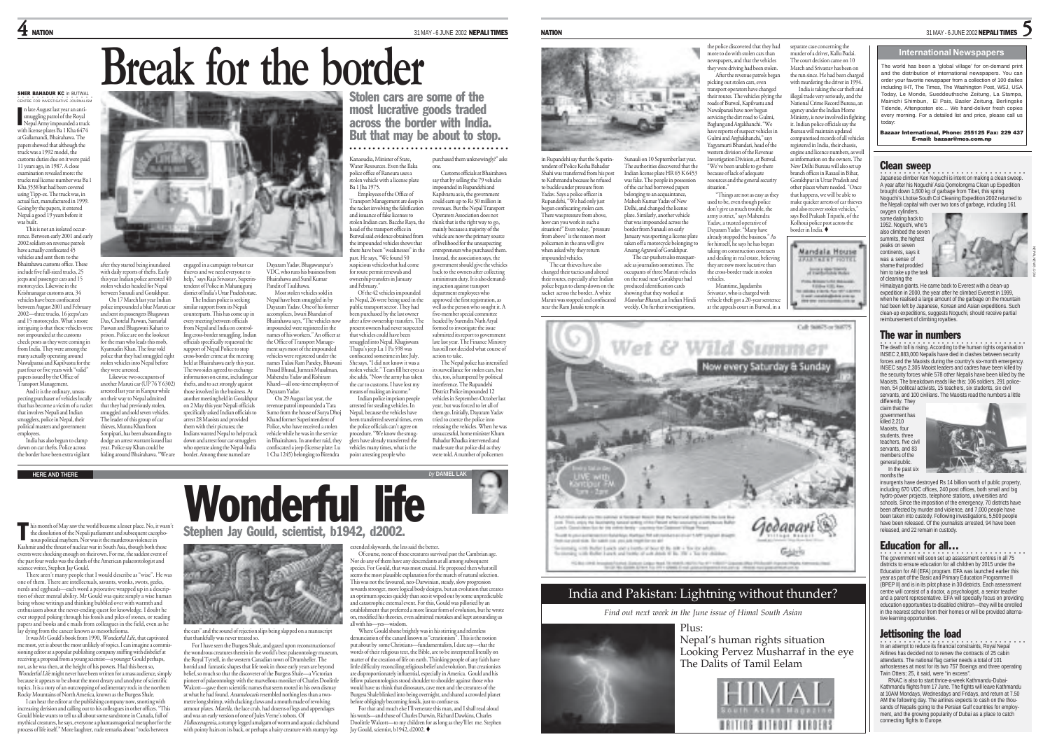# **Break for the border**

#### SHER BAHADUR KC in BUTWAL ○○○○○○○○○○○○○○○○ CENTRE FOR INVESTIGATIVE JOURNALISM

n late August last year an antismuggling patrol of the Royal Nepal Army impounded a truck with license plates Ba 1 Kha 6474 at Gallamandi, Bhairahawa. The papers showed that although the truck was a 1992 model, the customs duties due on it were paid 11 years ago, in 1987. A close ation revealed more: th trucks real license number was Ba 1 Kha 3538 but had been covered using Tipp-ex. The truck was, in actual fact, manufactured in 1999. Going by the papers, it entered Nepal a good 19 years before it was built. I

This is not an isolated occur rence. Between early 2001 and early 2002 soldiers on revenue patrols have actually confiscated 45 vehicles and sent them to the

Bhairahawa customs office. These include five full-sized trucks, 25 jeeps and passenger cars and 15 motorcycles. Likewise in the Krishnanagar customs area, 34 vehicles have been confiscated after they started being inundated with daily reports of thefts. Farly this year Indian police arrested 40 stolen vehicles headed for Nepal between Sunauli and Gorakhpur. police impounded a blue Maruti car

between August 2001 and February 2002—three trucks, 16 jeeps/cars and 15 motorcycles. What's more intriguing is that these vehicles were not impounded at the customs check posts as they were coming in from India. They were among the many actually operating around Nawalparasi and Kapilvastu for the past four or five years with "valid" papers issued by the Office of and sent its passengers Bhagawan Das, Chotelal Paswan, Samarlal Paswan and Bhagawati Kahari to prison. Police are on the lookout for the man who leads this mob, Kyamudin Khan. The four told police that they had smuggled eight stolen vehicles into Nepal before they were arrested. Likewise two occupants of another Maruti car (UP 76 Y 6302)

On 17 March last year Indian

arrested last year in Kanpur while on their way to Nepal admitted that they had previously stolen, smuggled and sold seven vehicles. The leader of this group of car thieves, Munna Khan from Sonpipari, has been absconding to

Transport Management. And it is the ordinary, unsuspecting purchaser of vehicles locally that has become a victim of a racket that involves Nepali and Indian smugglers, police in Nepal, their political masters and government employees. India has also begun to clamp

down on car thefts. Police across the border have been extra vigilant dodge an arrest warrant issued last year. Police say Khan could be hiding around Bhairahawa. "We are

his month of May saw the world become a lesser place. No, it wasn't this month of May saw the world become a lesser place. No, it was<br>the dissolution of the Nepali parliament and subsequent cacopho-<br>nous political parliament. Moreover it the murderous violence in nous political mayhem. Nor was it the murderous violence in Kashmir and the threat of nuclear war in South Asia, though both those events were shocking enough on their own. For me, the saddest event of the past four weeks was the death of the American palaeontologist and science writer, Stephen Jay Gould.

There aren't many people that I would describe as "wise". He was one of them. There are intellectuals, savants, wonks, swots, geeks, nerds and eggheads—each word a pejorative wrapped up in a description of sheer mental ability. Mr Gould was quite simply a wise human being whose writings and thinking bubbled over with warmth and enthusiasm about the never-ending quest for knowledge. I doubt he ever stopped poking through his fossils and piles of stones, or reading papers and books and e mails from colleagues in the field, even as he lay dying from the cancer known as mesothelioma.

It was Mr Gould's book from 1990, Wonderful Life, that captivated me most, yet is about the most unlikely of topics. I can imagine a commissioning editor at a popular publishing company sniffing with disbelief at receiving a proposal from a young scientist—a younger Gould perhaps, not, as he was then, at the height of his powers. Had this been so, Wonderful Life might never have been written for a mass audience, simply because it appears to be about the most dreary and anodyne of scientific topics. It is a story of an outcropping of sedimentary rock in the northern Rocky Mountains of North America, known as the Burgess Shale.

I can hear the editor at the publishing company now, snorting with increasing derision and calling out to his colleagues in other offices. "This Gould bloke wants to tell us all about some sandstone in Canada, full of mythical creatures, he says, everyone a phantasmagorical metaphor for the process of life itself." More laughter, rude remarks about "rocks between



engaged in a campaign to bust car thieves and we need everyone to help," says Raja Srivastav, Superinterp, and compared in Maharajgunj district of India's Uttar Pradesh state. Dayaram Yadav, Bhagawanpur's VDC, who runs his business from Bhairahawa and Sunil Kumar Pandit of Taulihawa. Most stolen vehicles sold in

The Indian police is seeking similar support from its Nepali counterparts. This has come up in every meeting between officials from Nepal and India on controlling cross-border smuggling. Indian officials specifically requested the support of Nepal Police to stop cross-border crime at the meeting held at Bhairahawa early this year. The two sides agreed to exchange information on crime, including car thefts, and to act strongly against those involved in the business. At another meeting held in Gorakhpur on 2 May this year Nepali officials specifically asked Indian officials to Nepal have been smuggled in by Dayaram Yadav. One of his former accomplices, Iswari Bhandari of Bhairahawa says, "The vehicles now impounded were registered in the the Office of Transport Manage-ment says most of the impounded vehicles were registered under the names Tulasi Ram Pandey, Bhawan Prasad Bhusal, Jumrati Musalman, Mahendra Yadav and Rishiram Kharel—all one-time employees of Dayaram Yadav. On 29 August last year, the revenue patrol impounded a Tata Sumo from the house of Surya Dhoj

arrest 28 Maoists and provided them with their pictures; the Indians wanted Nepal to help track down and arrest four car-smugglers who operate along the Nepal-India border. Among those named are Khand former Superintendent of Police, who have received a stolen vehicle while he was in the service in Bhairahawa. In another raid, they confiscated a jeep (license plate: Lu 1 Cha 1245) belonging to Birendra

Stolen cars are some of the most lucrative goods traded across the border with India. But that may be about to stop. •••••••••••••••••••••••••••••••••

Kanaoudia, Minister of State, Water Resources. Even the Ilaka purchased them unknowingly?" asks one. Customs officials at Bhairahawa

police office of Raneura uses a stolen vehicle with a license plate Ba 1 Jha 1975. Employees of the Office of Transport Management are deep in the racket involving the falsification and issuance of fake licenses to stolen Indian cars. Bacche Raya, the head of the transport office in Butwal said evidence obtained from the impounded vehicles shows that there have been "weaknesses" in the past. He says, "We found 50 spicious vehicles that had come for route permit renewals and say that by selling the 79 vehicles impounded in Rupandehi and Kapilvastu as is, the government could earn up to Rs 30 million in revenues. But the Nepal Transport Operators Association does not think that is the right way to go, mainly because a majority of the vehicle are now the primary source of livelihood for the unsuspecting entrepreneurs who purchased them. Instead, the association says, the<br>government should give the vehicles

and February."

ownership transfers in January Of the 42 vehicles impounded in Nepal, 26 were being used in the public transport sector. They had been purchased by the last owner after a few ownership transfers. The present owners had never suspected that vehicles could have been smuggled into Nepal. Khagiswara Thapa's jeep Lu 1 Pa 598 was confiscated sometime in late July. She says, "I did not know it was a government should give the vehicles back to the owners after collecting a minimum duty. It is also demand ing action against transport department employees who approved the first registration, as well as the person who sought it. A five-member special committee headed by Surendra Nath Aryal formed to investigate the issue<br>submitted its report to government ort to government late last year. The Finance Ministry has still not decided what course of action to take.

The Nepal police has intensified its surveillance for stolen cars, but this, too, is hampered by political interference. The Rupandehi District Police impounded 12 vehicles in September-October last year, but was forced to let all of

them go. Initially, Dayaram Yadav tried to coerce the police into releasing the vehicles. When he was unsuccessful, home minister Khum Bahadur Khadka intervened and made sure that police did as they were told. A number of policemen



tendent of Police Kesha Bahadur Shahi was transferred from his post to Kathmandu because he refused to buckle under pressure from Yadav. Says a police officer in Rupandehi, "We had only just begun confiscating stolen cars. There was pressure from above, how can you work in such a situation?" Even today, "pressure from above" is the reason most policemen in the area will give when asked why they return The car thieves have also changed their tactics and altered their routes, especially after Indian The authorities discovered that the Indian license plate HR 65 K 6453 was fake. The people in possession of the car had borrowed papers belonging to an acquaintance, Mahesh Kumar Yadav of New Delhi, and changed the license plate. Similarly, another vehicle that was impounded across the border from Sunauli on early January was sporting a license plate taken off a motorcycle belonging to Anurag Agrawal of Gorakhpur. The car-pushers also masquer ade as journalists sometimes. The occupants of three Maruti vehicles on the road near Gorakhpur had

police began to clamp down on the racket across the border. A white Maruti was stopped and confiscated near the Ram Janaki temple in produced identification cards showing that they worked at Manohar Bharati, an Indian Hindi weekly. On further investigations,

impounded vehicles.



the police discovered that they had more to do with stolen cars than newspapers, and that the vehicles they were driving had been stolen. After the revenue patrols began picking out stolen cars, even transport operators have changed their routes. The vehicles plying the roads of Butwal, Kapilvastu and Nawalparasi have now begun servicing the dirt road to Gulmi, Baglung and Argakhanchi. "We have reports of suspect vehicles in Gulmi and Arghakhanchi," says Yagyamurti Bhandari, head of the western division of the Revenue Investigation Division, at Butwal. "We've been unable to go there because of lack of adequate resources and the general security situation."

separate case concerning the murder of a driver, Kallu Badai. The court decision came on 10 March and Srivastav has been on the run since. He had been charge with murdering the driver in 1994. India is taking the car theft and illegal trade very seriously, and the National Crime Record Bureau, an agency under the Indian Home Ministry, is now involved in fight it. Indian police officials say the Bureau will maintain updated computerised records of all vehicle registered in India, their chassis, engine and licence numbers, as well information on the owners. The New Delhi Bureau will also set up branch offices in Raxaul in Bihar, Gorakhpur in Uttar Pradesh and other places where needed. "Once that happens, we will be able to make quicker arrests of car thieve and also recover stolen vehicles," says Bed Prakash Tripathi, of the Kolhoui police post across the border in India.

Mandala House **JAIRTAEST FOTK Joseph Text**  $\label{eq:Riccati} \begin{split} \mathcal{D}(\mathcal{D}) & = \mathcal{D}(\mathcal{D}) \mathcal{D}(\mathcal{D}) \cdot \mathcal{D}(\mathcal{D}) \cdot \mathcal{D}(\mathcal{D}) \\ & = \mathcal{D}(\mathcal{D}) \mathcal{D}(\mathcal{D}) \cdot \mathcal{D}(\mathcal{D}) \cdot \mathcal{D}(\mathcal{D}) \cdot \mathcal{D}(\mathcal{D}) \cdot \mathcal{D}(\mathcal{D}) \cdot \mathcal{D}(\mathcal{D}) \cdot \mathcal{D}(\mathcal{D}) \cdot \mathcal{D}(\mathcal{D}) \cdot \mathcal{D}(\mathcal{D})$ sing one concretendo con a

"Things are not as easy as they used to be, even though police don't give us much trouble, the army is strict," says Mahendra Yadav, a trusted operative of Dayaram Yadav. "Many have already stopped the business." As for himself, he says he has begun taking on construction contracts and dealing in real estate, believing they are now more lucrative than the cross-border trade in stolen vehicles. Meantime, Jagadamba Srivastav, who is charged with vehicle theft got a 20-year sentence at the appeals court in Butwal, in a

## India and Pakistan: Lightning without thunder?

*Find out next week in the June issue of Himal South Asian*

#### Plus:

Nepal's human rights situation Looking Pervez Musharraf in the eye The Dalits of Tamil Eelam



## 5

#### **International Newspapers**

The world has been a 'global village' for on-demand print and the distribution of international newspapers. You can order your favorite newspaper from a collection of 100 dailies including IHT, The Times, The Washington Post, WSJ, USA Today, Le Monde, Sueddeuthsche Zeitung, La Stampa, Mainichi Shimbun, El Pais, Basler Zeitung, Berlingske Tidende, Aftenposten etc… We hand-deliver fresh copies every morning. For a detailed list and price, please call us today:

Bazaar International, Phone: 255125 Fax: 229 437 E-mail: bazaar@mos.com.np

#### Clean sweep

○○○○○○○○○○○○○○○○○○○○○○○○○○○ ○○○○ Japanese climber Ken Noguchi is intent on making a clean sweep. A year after his Noguchi/ Asia Qomolongma Clean up Expedition brought down 1,600 kg of garbage from Tibet, this spring Noguchi's Lhotse South Col Cleaning Expedition 2002 returned to the Nepali capital with over two tons of garbage, including 161

oxygen cylinders. some dating back to 1952. Noguchi, who's also climbed the seven summits, the highest peaks on seven continents, says it was a sense of shame that prodded him to take up the task of cleaning the



NEPALNEWS.COM

Himalayan giants. He came back to Everest with a clean-up expedition in 2000, the year after he climbed Everest in 1999, when he realised a large amount of the garbage on the mountain had been left by Japanese, Korean and Asian expeditions. Such clean-up expeditions, suggests Noguchi, should receive partial reimbursement of climbing royalties.

#### The war in numbers

•<br>The death toll is rising. According to the human rights organisation INSEC 2,883,000 Nepalis have died in clashes between security forces and the Maoists during the country's six-month emergency INSEC says 2,305 Maoist leaders and cadres have been killed by the security forces while 578 other Nepalis have been killed by the Maoists. The breakdown reads like this: 106 soldiers, 291 policemen, 54 political activists, 15 teachers, six students, six civil servants, and 100 civilians. The Maoists read the numbers a little

differently. They claim that the government has killed 2,210 Maoists, four students, three teachers, five civil servants, and 83 members of the general public. In the past six months the



insurgents have destroyed Rs 14 billion worth of public pro including 670 VDC offices, 240 post offices, both small and big hydro-power projects, telephone stations, universities and schools. Since the imposition of the emergency, 70 districts have been affected by murder and violence, and 7,000 people have been taken into custody. Following investigations, 5,500 people have been released. Of the journalists arrested, 94 have been released, and 22 remain in custody.

#### Education for all…

○○○○○○○○○○○○○○○○○○○○○○○○○○○ ○○○○ The government will soon set up assessment centres in all 75 districts to ensure education for all children by 2015 under the Education for All (EFA) program. EFA was launched earlier this year as part of the Basic and Primary Education Programme II (BPEP II) and is in its pilot phase in 30 districts. Each assessment centre will consist of a doctor, a psychologist, a senior teacher and a parent representative. EFA will specially focus on providing education opportunities to disabled children—they will be enrolled in the nearest school from their homes or will be provided alternative learning opportunities.

**Jettisoning the load**<br>In an attempt to reduce its financial constraints, Royal Nepal Airlines has decided not to renew the contracts of 25 cabin attendants. The national flag carrier needs a total of 101 airhostesses at most for its two 757 Boeings and three operating Twin Otters; 25, it said, were "in excess".

RNAC is also to start thrice-a-week Kathmandu-Dubai-Kathmandu flights from 17 June. The flights will leave Kathmandu at 10AM Mondays, Wednesdays and Fridays, and return at 7.50 AM the following day. The airlines expects to cash on the thousands of Nepalis going to the Persian Gulf countries for employment, and the growing popularity of Dubai as a place to catch connecting flights to Europe.

# **HERE AND THERE** *by* **DANIEL LAK** Wonderful life

Stephen Jay Gould, scientist, b1942, d2002.

nes of his workers." An officer at



the ears" and the sound of rejection slips being slapped on a manuscript that thankfully was never treated so.

For I have seen the Burgess Shale, and gazed upon reconstructions of the wondrous creatures therein in the world's best palaeontology museum, the Royal Tyrrell, in the western Canadian town of Drumheller. The horrid and fantastic shapes that life took in those early years are beyond belief, so much so that the discoverer of the Burgess Shale—a Victorian <sup>p</sup>ioneer of palaeontology with the marvellous moniker of Charles Doolittle Walcott—gave them scientific names that seem rooted in his own dismay at what he had found. Anamalocaris resembled nothing less than a twometre long shrimp, with clacking claws and a mouth made of revolving armour plates. Marella, the lace crab, had dozens of legs and appendages and was an early version of one of Jules Verne's robots. Of Hallucenagenia, a stumpy legged amalgam of worm and aquatic dachshund with pointy hairs on its back, or perhaps a hairy creature with stumpy legs

#### extended skywards, the less said the better. Of course, none of these creatures survived past the Cambrian age.

Nor do any of them have any descendants at all among subsequent species. For Gould, that was most crucial. He proposed then what still seems the most plausible explanation for the march of natural selection. This was not the favoured, neo-Darwinian, steady, slow progression towards stronger, more logical body designs, but an evolution that creates an optimum species quickly than sees it wiped out by some unpredictable and catastrophic external event. For this, Gould was pilloried by an establishment that preferred a more linear form of evolution, but he wrote on, modified his theories, even admitted mistakes and kept astounding us all with his—yes—wisdom.

Where Gould shone brightly was in his stirring and relentless denunciation of the canard known as "creationism". This is the notion put about by some Christians—fundamentalists, I dare say—that the words of their religious text, the Bible, are to be interpreted literally on matter of the creation of life on earth. Thinking people of any faith have little difficulty reconciling religious belief and evolution. But creationists are disproportionately influential, especially in America. Gould and his fellow palaeontologists stood shoulder to shoulder against those who would have us think that dinosaurs, cave men and the creatures of the Burgess Shale blinked into being overnight, and shared a crowded planet before obligingly becoming fossils, just to confuse us.

For that and much else I'll venerate this man, and I shall read aloud his words—and those of Charles Darwin, Richard Dawkins, Charles Doolittle Walcott—to my children for as long as they'll let me. Stephen Jay Gould, scientist, b1942, d2002.

stolen vehicle." Tears fill her eyes as she adds, "Now the army has taken the car to customs. I have lost my means of making an income." Indian police imprison people

and for stealing vehicles. In Nepal, because the vehicles have been transferred several times, even the police officials can't agree on procedure. "We know the smugglers have already transferred the vehicles many times, what is the point arresting people who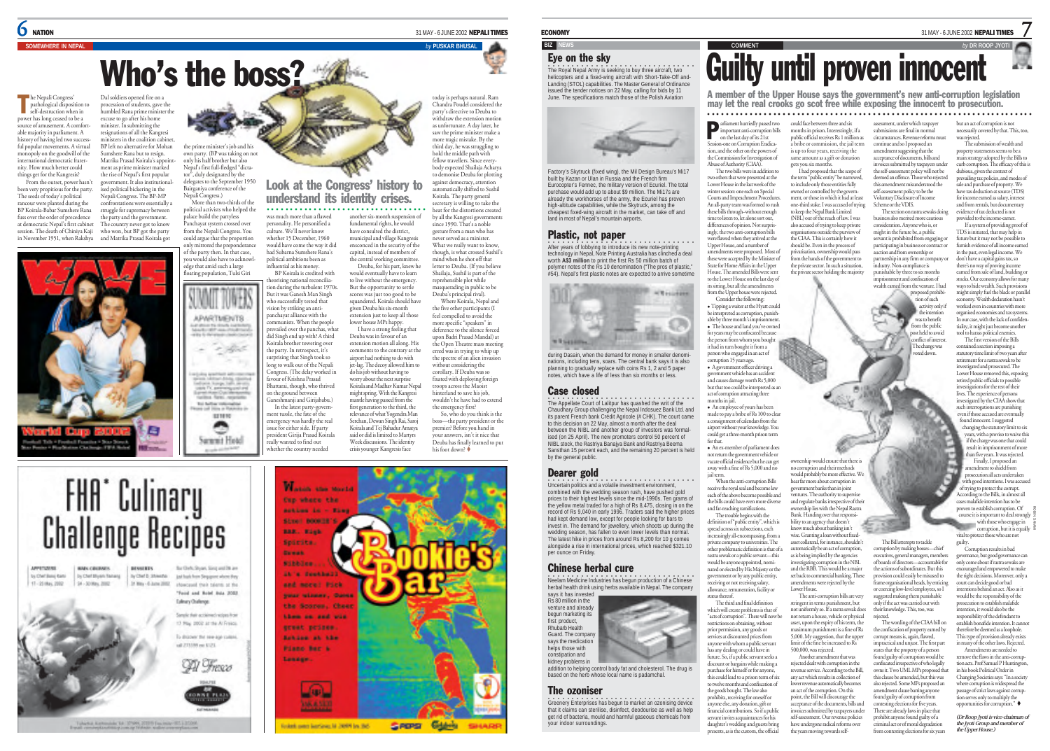$\int$  nation 31 MAY - 6 JUNE 2002 NEPALI TIMES

# Who's the boss?

**SOMEWHERE IN NEPAL** *by* **PUSKAR BHUSAL**

he Nepali Congress' pathological disposition to self-destruction when in power has long ceased to be a ource of amusement. A comfor able majority in parliament. A history of having led two successful popular movements. A virtual monopoly on the goodwill of the international democratic fraternity. How much better could things get for the Kangresis? From the outset, power hasn't Dal soldiers opened fire on a procession of students, gave the humbled Rana prime minister the excuse to go after his home minister. In submitting the resignations of all the Kangresi The Nepali Congres Dal soldiers opened fire on a chandra Poudel considered the party of the party of the party of the party of the party of the party of the party of the party of the party of the party of the party of the

been very propitious for the party. The seeds of today's political rancour were planted during the BP Koirala-Babar Sumshere Rana fuss over the order of precedence at democratic Nepal's first cabinet session. The death of Chiniya Kaji who won, but BP got the party in November 1951, when Rakshya and Matrika Prasad Koirala got



ters in the coalition cabinet. BP left no alternative for Mohan Sumshere Rana but to resign. Matrika Prasad Koirala's appointment as prime minister marked the rise of Nepal's first popular government. It also institutionalised political bickering in the Nepali Congress. The BP-MP ontations were essentially : struggle for supremacy between the party and the government. The country never got to know

the prime minister's job and his own party. (BP was taking on not only his half brother but also Nepal's first full-fledged "dictator", duly designated by the delegates to the September 1950 Bairganiya conference of the Nepali Congress.) More than two-thirds of the

political activists who helped the palace build the partyless Panchayat system crossed over from the Nepali Congress. You could argue that the proportion ored the prep

of the party then. In that case, you would also have to acknowledge that amid such a large floating population, Tulsi Giri whether 15 December, 1960 would have come the way it did had Subarna Sumshere Rana's political ambitions been as influential as his money. BP Koirala is credited with

Sammit Hotel

orising national reconciliaion during the turbulent 1970s But it was Ganesh Man Singh who successfully tested that ision by striking an antipanchayat alliance with the **APARTMENTS** mmunists. When the people prevailed over the panchas, what did Singh end up with? A third Koirala brother towering over itat. the party. In retrospect, it's urprising that Singh took so ing to walk out of the Nepali Congress. (The delay worked in  $\frac{1}{\sqrt{2\pi}\sqrt{2}}\frac{1}{\sqrt{2\pi}}\frac{1}{\sqrt{2\pi}}\frac{1}{\sqrt{2\pi}}\frac{1}{\sqrt{2\pi}}\frac{1}{\sqrt{2\pi}}\frac{1}{\sqrt{2\pi}}\frac{1}{\sqrt{2\pi}}\frac{1}{\sqrt{2\pi}}\frac{1}{\sqrt{2\pi}}\frac{1}{\sqrt{2\pi}}\frac{1}{\sqrt{2\pi}}\frac{1}{\sqrt{2\pi}}\frac{1}{\sqrt{2\pi}}\frac{1}{\sqrt{2\pi}}\frac{1}{\sqrt{2\pi}}\frac{1}{\sqrt{2\pi}}\frac{1}{\sqrt{2\pi}}$ favour of Krishna Prasad Bhattarai, though, who thrived on the ground between  $\sim$ Ganeshmanji and Girijababu.) To father retireable In the latest party-govern-Lising or Francisco in ment tussle, the fate of the **STRR** emergency was hardly the real ◚ ssue for either side. If party

> president Girija Prasad Koirala really wanted to find out whether the country needed

was much more than a flawed personality. He personified a culture. We'll never know

Look at the Congress' history to understand its identity crises. another six-month suspension of secretary is willing to take the ○○○○○○○○○○○○○○○○○○○○○○○○○○○○○○ ○○○○

fundamental rights, he would have consulted the district, municipal and village Kangresi ensconced in the security of the capital, instead of members of the central working committee. Deuba, for his part, knew he would eventually have to learn to live without the emergency. But the opportunity to settle scores was just too good to be squandered. Koirala should have <sup>g</sup>iven Deuba his six-month extension just to keep all those lower house MPs happy. I have a strong feeling that Deuba was in favour of an extension motion all along. His comments to the contrary at the airport had nothing to do with jet-lag. The decoy allowed him to do his job without having to worry about the next surprise Koirala and Madhav Kumar Nepal might spring. With the Kangresi mantle having passed from the first generation to the third, the relevance of what Yogendra Man Serchan, Dewan Singh Rai, Saroj Koirala and Tej Bahadur Amatya said or did is limited to Martyrs Week discussions. The identity crisis younger Kangresis face reprehensible plot while without considering the your answers, isn't it nice that Deuba has finally learned to put his foot down?

#### **FHA** Culinary **Challenge Recipes** APPROXIMA **BENNERTS** Burlish Story Star and in an by Chef Bang Rand by Chef Blyan Tamera y Chef D. Shieldig just basic from Singapore where they 11-20 May, 2002 34 - 30 May 2002 31 May - 6 June 2002 chippined that takens of the Food and Road Inca 2002 **Edward Orderon** Sample that actions of return from 1 May 2002 at the Al Freeze To dramary the samples culture of 213,00 pe 6:21. **ODI** These

Takena Agreemia ta 10985 2019 (w.mar-81.) 2020



withdraw the extension motion as unfortunate. A day later, he saw the prime minister make a more tragic mistake. By the third day, he was struggling to hold the middle path with fellow travellers. Since everybody expected Shailaja Acharya to demonise Deuba for plotting against democracy, attention automatically shifted to Sushil Koirala. The party general

heat for the distortions created by all the Kangresi governments since 1990. That's a noble gesture from a man who has never served as a minister. What we really want to know though, is what crossed Sushil's mind when he shot off that letter to Deuba. (If you believ Shailaja, Sushil is part of the masquerading in public to be Deuba's principal rival). Where Koirala, Nepal and the five other participants (I feel compelled to avoid the more specific "speakers" in deference to the silence forced upon Badri Prasad Mandal) at the Open Theatre mass meeting erred was in trying to whip up the spectre of an alien invasion corollary. If Deuba was so fixated with deploying foreign troops across the Maoist ops across the massive<br>iterland to save his job, wouldn't he have had to extend the emergency first? So, who do you think is the boss—the party president or the premier? Before you hand in

helicopters and a fixed-wing aircraft with Short-Take-Off and-Landing (STOL) capabilities. The Master General of Ordinance issued the tender notices on 22 May, calling for bids by 11 June. The specifications match those of the Polish Aviation

Factory's Skytruck (fixed wing), the Mil Design Bureau's Mi17 built by Kazan or Ulan in Russia and the French firm Eurocopter's Fennec, the military version of Ecuriel. The total purchase would add up to about \$9 million. The Mi17s are already the workhorses of the army, the Ecuriel has proven high-altitude capabilities, while the Skytruck, among the cheapest fixed-wing aircraft in the market, can take off and land in most of Nepal's mountain airports.

## Plastic, not paper

Eye on the sky

After years of lobbying to introduce its new note-printing technology in Nepal, Note Printing Australia has clinched a deal worth **A\$3** million to print the first Rs 50 million batch of polymer notes of the Rs 10 denomination ("The pros of plastic," #54). Nepal's first plastic notes are expected to arrive sometime



during Dasain, when the demand for money in smaller denominations, including tens, soars. The central bank says it is also planning to gradually replace with coins Rs 1, 2 and 5 paper notes, which have a life of less than six months or less.

#### Case closed

The Appellate Court of Lalitpur has quashed the writ of the Chaudhary Group challenging the Nepal Indosuez Bank Ltd. and its parent French bank Crédit Agricole (# CHK). The court came to this decision on 22 May, almost a month after the deal between the NIBL and another group of investors was formalised (on 25 April). The new promoters control 50 percent of NIBL stock, the Rastriya Banajya Bank and Rastriya Beema Sansthan 15 percent each, and the remaining 20 percent is held by the general public.

#### Dearer gold

**Oncertain politics and a volatile investment environment,** combined with the wedding season rush, have pushed gold prices to their highest levels since the mid-1990s. Ten grams of the yellow metal traded for a high of Rs 8,475, closing in on the record of Rs 9,040 in early 1996. Traders said the higher prices had kept demand low, except for people looking for bars to invest in. The demand for jewellery, which shoots up during the wedding season, has fallen to even lower levels than normal. The latest hike in prices from around Rs 8,200 for 10 g comes alongside a rise in international prices, which reached \$321.10 per ounce on Friday.

### Chinese herbal cure

**•**<br>Neelam Medicine Industries has begun production of a Chinese herbal health drink using herbs available in Nepal. The company

addition to helping control body fat and cholesterol. The drug is based on the herb whose local name is padamchal.

#### The ozoniser

•<br>Greenery Enterprises has begun to market an ozonising device that it claims can sterilise, disinfect, deodourise as well as help get rid of bacteria, mould and harmful gaseous chemicals from your indoor surroundings.

ECONOMY 31 MAY - 6 JUNE 2002 NEPALI TIMES

7

# **BIZ NEWS ON A READ FOR DR ROOP JYOT AND A READ FOR DR ROOP JYOT AND A READ FOR DR ROOP JYOT AND A READ FOR DR** ROOP JYOT AND THE STATE OF THE STATE OF THE STATE OF THE STATE OF THE STATE OF THE STATE OF THE STATE OF THE S The Royal Nepal Army is seeking to buy three aircraft, two

A member of the Upper House says the government's new anti-corruption legislation may let the real crooks go scot free while exposing the innocent to prosecution. ○○○○○○○○○○○○○○○○○○○○○○○○○○○○○○○○○○○○○○○○○○○○○○○○○○○○○○○○ ○○○○○○○○○○○○○

arliament hurriedly passed two could face between three and six assessment, under which taxpayer

important anti-corruption bills on the last day of its 21st Session-one on Corruption Eradication, and the other on the powers of the Commission for Investigation of Abuse of Authority (CIAA). months in prison. Interestingly, if a public official receives Rs 1 million as a bribe or commission, the jail term is up to four years, receiving the same amount as a gift or donation gets you six months.

P

The two bills were in addition to two others that were presented at the Lower House in the last week of the winter session: one each on Special Courts and Impeachment Procedure An all-party team was formed to rush these bills through–without enough time to listen to, let alone sort out, differences of opinion. Not surp ingly, the two anti-corruption bills were flawed when they arrived at the Upper House, and a number of amendments were proposed. Most of these were accepted by the Minister of State for Home Affairs in the Upper I had proposed that the scope of the term "public entity" be narrowed, to include only those entities fully owned or controlled by the government, or those in which it had at least one-third stake. I was accused of trying to keep the Nepal Bank Limited (NBL) out of the reach of law. I was also accused of trying to keep private organisations outside the purview of the CIAA. This is certainly how it should be. Even in the process of privatisation, ownership would pass from the hands of the government to the private sector. In such a situation, the private sector holding the majority

House. The amended Bills were se to the Lower House on the last day of its sitting, but all the amendments from the Upper house were rejected. Consider the following: <sup>z</sup> Tipping a waiter at the Hyatt could be interpreted as corruption, punishable by three month's imprisonm • The house and land you've owned

for years may be confiscated because the person from whom you bought it had in turn bought it from a person who engaged in an act of corruption 15 years ago. · A government officer driving a government vehicle has an accident <sub>.</sub><br>and causes damage worth Rs 5,000 but that too could be interpreted as an act of corruption attracting three months in jail.

An employee of yours has been made to pay a bribe of Rs 100 to clear a consignment of calendars from the airport without your knowledge. You could get a three-month prison term for that. **•** An ex-member of parliament does

not return the government vehicle or vacate official residence but he can get away with a fine of Rs 5,000 and no ownership would ensure that there is would probably be more effective. We

jail term. When the anti-corruption Bills ive the royal seal and become law each of the above become possible and the bills could have even more diverse and far-reaching ramifications. The trouble begins with the definition of "public entity", which is hear far more about corruption in government banks than in joint tures. The authority to superviand regulate banks irrespective of their ownership lies with the Nepal Rastra Bank. Handing over that responsibility to an agency that doesn't

corruption and their methods

 $\overline{c}$ 

m punishment is a fine of Rs

Another amendment that was

the years moving towards self-

nue service. According to the Bill,

spread across six subsections, each easingly all-encompassing, from private company to universities. The other problematic definition is that of a rastra sewak or a public servant—this would be anyone appointed, nominated or elected by His Majesty or the government or by any public entity, receiving or not receiving salary, allowance, remuneration, facility or know much about banking isn't wise. Granting a loan without fixedasset collateral, for instance, shouldn't automatically be an act of corruption, as is being implied by the agencies<br>investigating comunion in the NRI investigating corruption in the NBL and the RBB. This would be a major set back to commercial banking. These amendments were rejected by the Lower House. The anti-corruption bills are w

status thereof. The third and final definition which will create problems is that of "acts of corruption". There will now be restrictions on obtaining, without prior permission, any goods or services at discounted prices from anyone with whom a public servant has any dealing or could have in future. So, if a public servant seeks a discount or bargains while making a purchase for himself or for anyone this could lead to a prison term of six to twelve months and confiscation of the goods bought. The law also prohibits, receiving for oneself or anyone else, any donation, gift or financial contributions. So if a publiservant invites acquaintances for his daughter's wedding and guests bring stringent in terms punishment, but not uniformly so. If a rastra sewak does not return a house, vehicle or physical asset, upon the expiry of his term, the 5,000. My suggestion, that the upper limit of the fine be increased to Rs 500,000, was rejected. rejected dealt with corruption in the any act which results in collection of lower revenue automatically becomes an act of the corruption. On this point, the Bill will discourage the acceptance of the documents, bills and invoices submitted by taxpayers under self-assessment. Our revenue policies have undergone radical reforms over

nts, as is the custom, the official

submissions are final in normal circumstances. Revenue reforms mu continue and so I proposed an amendment suggesting that the acceptance of documents, bills and pices submitted by taxpayers under the self-assessment policy will not be deemed an offence. Those who rejected this amendment misunderstood the self-assessment policy to be the

Voluntary Disclosure of Income Scheme or the VDIS. The section on rastra sewaks doing business also merited more cautious ssideration. Anyone who is, or

might in the future be, a public might in the ruture oc, a pussic<br>servant is prohibited from engaging participating in business or contract or auction and from ownership or partnership in any firm or company industry. Non-compliance is punishable by three to six months imprisonment and confiscation of wealth earned from the venture. I had

The Bill attempts to tackle

only if the act was carried out with their knowledge. This, too, was rejected.

practical and unjust. The first part states that the property of a person found guilty of corruption would b curre gain) or correption would be<br>confiscated irrespective of who legally **OWINS IT WO UML MPs** proposed that this clause be amended, but this was also rejected. Some MPs proposed an aam regereen commer.<br>amendment clause barring found guilty of corruption from contesting elections for five years. There are already laws in place that prohibit anyone found guilty of a criminal act or of moral degradation<br>from contesting elections for six year

proposed prohibi tion of such activity only if the intention was to benefit from the public post held to avoid conflict of interest. The change was wd down. anomies under which taxpores are not computed in the state and the state of consideration and the state of the state of the state of the state of the state of the state of the state of the state of the state of the state

ROBIN SAYAMI

corruption by making bosses—chief xecutives, general managers, member of boards of directors—accountable for the actions of subordinates. But this provision could easily be misused to frame organisational heads, by enticing<br>or coercing low-level employees, so I suggested making them punishable The wording of the CIAA bill or the confiscation of property earned by corrupt means is, again, flawed,



says it has invested

Rs 80 million in the venture and alread begun marketing its first product, Rhubarb Health Guard. The compa

says the medication helps those with constipation and kidney problems in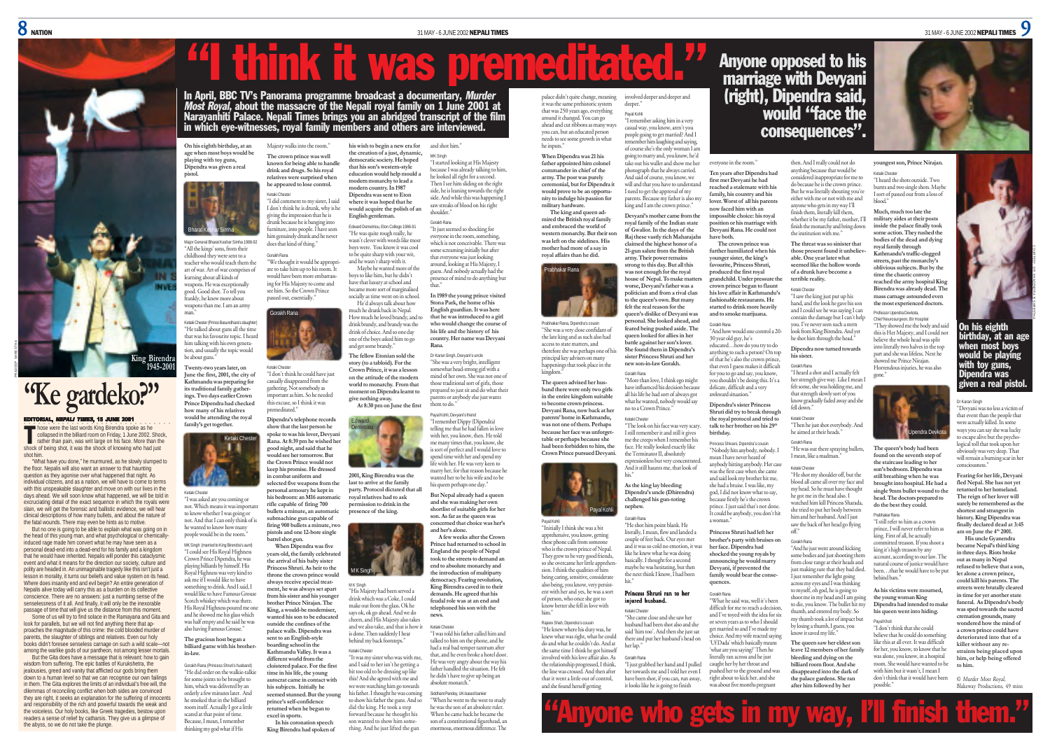



#### ORIAL, NEPALI TIMES, 15 JUNE 2001

PRADEEP SHRESTHA

I hose were the last words King Birendra spoke as he<br>
collapsed in the billiard room on Friday, 1 June 2002. Shock,<br>
rather than pain, was writ large on his face. More than the collapsed in the billiard room on Friday, 1 June 2002. Shock rather than pain, was writ large on his face. More than the shock of being shot, it was the shock of knowing who had just shot him.

"What have you done," he murmured, as he slowly slumped to the floor. Nepalis will also want an answer to that haunting question as they agonise over what happened that night. As individual citizens, and as a nation, we will have to come to terms with this unspeakable slaughter and move on with our lives in the days ahead. We will soon know what happened, we will be told in excruciating detail of the exact sequence in which the royals were slain, we will get the forensic and ballistic evidence, we will hear clinical descriptions of how many bullets, and about the nature of

the fatal wounds. There may even be hints as to motive. But no one is going to be able to explain what was going on in the head of this young man, and what psychological or chemicallyinduced rage made him convert what he may have seen as a personal dead-end into a dead-end for his family and a kingdom that he would have inherited. Nepalis will ponder this cataclysmic event and what it means for the direction our society, culture and polity are headed in. An unimaginable tragedy like this isn't just a lesson in morality, it turns our beliefs and value system on its head. Where does insanity end and evil begin? An entire generation of Nepalis alive today will carry this as a burden on its collective conscience. There are no answers: just a numbing sense of the senselessness of it all. And finally, it will only be the inexorable passage of time that will give us the distance from this moment.

Some of us will try to find solace in the Ramayana and Gita and look for parallels, but we will not find anything there that approaches the magnitude of this crime: the cold blooded murder of parents, the slaughter of siblings and relatives. Even our holy books didn't foresee senseless carnage on such a wild scale-no among the warlike gods of our pantheon, not among lesser mortals.

But the Gita does have a message that is relevant: how to gain wisdom from suffering. The epic battles of Kurukshetra, the jealousies, greed and vanity that afflicted our gods bring them down to a human level so that we can recognise our own failings in them. The Gita explores the limits of an individual's free will, the dilemmas of reconciling conflict when both sides are convinced they are right, it seeks an explanation for the suffering of innocent and responsibility of the rich and powerful towards the weak and the voiceless. Our holy books, like Greek tragedies, bestow upon readers a sense of relief by catharsis. They give us a glimpse of the abyss, so we do not take the plunge.

**On his eighth birthday, at an age when most boys would be playing with toy guns, Dipendra was given a real pistol.** Majesty walks into the room." **The crown prince was well known for being able to handle drink and drugs. So his royal relatives were surprised when**



"All the kings' sons, from their childhood they were sent to a

Bharat Keshar Simha

art of war. Art of war comprises of learning about all kinds of weapons. He was exceptionally good. Good shot. To tell you frankly, he knew more about weapons than me. I am an army man."

Ketaki Chester (Prince Basundhara's daughter) "He talked about guns all the time that was his favourite topic. I heard him talking with his own generation, and usually the topic would be about guns." **Twenty-two years later, on June the first, 2001, the city of Kathmandu was preparing for its traditional family gatherings. Two days earlier Crown Prince Dipendra had checked**

Major General Bharat Keshar Simha 1988-92 teacher who would teach them the drunk because he is banging into furniture, into people. I have seen him genuinely drunk and he never does that kind of thing." Gorakh Rana "We thought it would be appropri-

**he appeared to lose control.** Ketaki Chester "I did comment to my sister, I said I don't think he is drunk, why is he <sup>g</sup>iving the impression that he is

ate to take him up to his room. It would have been more embarrassing for His Majesty to come and see him. So the Crown Prince passed out, essentially. boys to like him, but he didn't have that luxury at school and became more sort of marginalised socially as time went on in school.

orakh Rana

Ketaki Chester "I don't think he could have just casually disappeared from the gathering. Not somebody as important as him. So he needed this excuse, so I think it was premeditated." **give nothing away.**



Ketaki Chester "I was asked are you coming or not. Which means it was important to know whether I was going or not. And that I can only think of is he wanted to know how many people would be in the room."

MK Singh (married to King Birendra's aunt) "I could see His Royal Highness Crown Prince Dipendra, he was <sup>p</sup>laying billiards by himself. His Royal Highness was very kind to ask me if I would like to have something to drink. And I said, I would like to have Famous Grouse Scotch whiskey which was there. His Royal Highness poured me on **barrel shot gun. When Dipendra was five years old, the family celebrated the arrival of his baby sister Princess Shruti. As heir to the throne the crown prince would always receive special treatment, he was always set apart from his sister and his younger brother Prince Nirajan. The King, a would-be moderniser,**

and he showed me his glass which was half empty and he said he was also having Famous Grouse." **The gracious host began a billiard game with his brotherin-law. outside the confines of the palace walls. Dipendra was sent to an English-style boarding school in the Kathmandu Valley. It was a**

Gorakh Rana (Princess Shruti's husband) "He did order on the walkie-talkie for some joints to be brought to him, which was delivered by an orderly a few minutes later. And he smoked that in the billiard room itself. Actually I got a little scared at that point of time. Because, I mean, I remember **excel in sports.**

thinking my god what if His

**education would help mould a modern monarchy to lead a modern country. In 1987 Dipendra was sent to Eton where it was hoped that he would acquire the polish of an English gentleman.** Edward Demetriou, Eton College 1986-91 "He was quite rough really, he wasn't clever with words like mos because I was already talking to him, he looked all right for a second. Then I see him sliding on the right side, he is leaning towards the right side. And while this was happening I saw streaks of blood on his right shoulder." Gorakh Rana "It just seemed so shocking for everyone in the room, something,

**his wish to begin a new era for the creation of a just, dynamic, democratic society. He hoped that his son's western-style**

In April, BBC TV's Panorama programme broadcast a documentary, *Murder*<br>*Most Royal*, about the massacre of the Nepali royal family on 1 June 2001 at<br>Narayanhiti Palace. Nepali Times brings you an abridged transcript of th



and shot him." MK Singh "I started looking at His Majesty

"I think it was premeditated."

**Stona Park, the home of his English guardian. It was here that he was introduced to a girl who would change the course of his life and the history of his country. Her name was Devyani Rana.**

**world to monarchy. From that moment on Dipendra learnt to** "She was a very bright, intelligen somewhat head-strong girl with a mind of her own. She was not one of those traditional sort of girls, those prepared to just sit and do what their parents or anybody else just wants them to do." Payal Kohli, Devyani's friend



**selected five weapons from the personal armoury he kept in his bedroom: an M16 automatic rifle capable of firing 700 bullets a minute, an automatic submachine gun capable of last to arrive at the family party. Protocol dictated that all royal relatives had to ask permission to drink in the presence of the king.**

**firing 900 bullets a minute, two pistols and one 12-bore single** M K Singh

**wanted his son to be educated** M K Singh "His Majesty had been served a drink which was a Coke, I could make out from the glass. Ok he says ok, ok go ahead. And we do cheers, and His Majesty also takes and we also take, and that is how it is done. Then suddenly I hear behind my back footsteps." Ketaki Chester "It was my sister who was with me,

**different world from the cloistered palace. For the first time in his life, the young autocrat came in contact with his subjects. Initially he seemed stunned. But the young prince's self-confidence returned when he began to In his coronation speech** and I said to her isn't he getting a bit too old to be dressing up like this? And she agreed with me and his father. I thought he was coming to show his father the guns. And so did the king. He took a step forward because he thought his son wanted to show him some-

**King Birendra had spoken of**

He'd always talk about how much he drank back in Nepal. How much he loved brandy, and to drink brandy, and brandy was the drink of choice. And so one day one of the boys asked him to go and get some brandy." **The fellow Etonian sold the story (to a tabloid). For the Crown Prince, it was a lesson on the attitude of the modern** Dr Karan Singh, Devyani's uncle



his queen perhaps one day." **But Nepal already had a queen and she was making her own shortlist of suitable girls for her son. As far as the queen was concerned that choice was her's and her's alone.**

> **A few weeks after the Crown Prince had returned to school in England the people of Nepal took to the streets to demand an end to absolute monarchy and**



**the introduction of multiparty democracy. Fearing revolution, King Birendra caved in to their demands. He agreed that his feudal role was at an end and telephoned his son with the news.** Ketaki Chester "I was told his father called him and

were watching him go towards talked to him on the phone, and he had a real bad temper tantrum after that, and he even broke a hotel door. He was very angry about the way his father handled the situation. He felt he didn't have to give up being an absolute monarch."

thing. And he just lifted the gun Siddhant Pandey, UK-based banker "When he went to the west to study he was the son of an absolute ruler. When he came back he became the son of a constitutional figurehead, an enormous, enormous difference. The palace didn't quite change, meaning it was the same prehistoric system that was 250 years ago, everything involved deeper and deeper and deeper." Payal Kohli

around it changed. You can go ahead and cut ribbons as many ways you can, but an educated person needs to see some growth in what **When Dipendra was 21 his** "I remember asking him in a very casual way, you know, aren't you people going to get married? And I remember him laughing and saying, of course she's the only woman I am going to marry and, you know, he'd

**father appointed him colonel commander in chief of the army. The post was purely ceremonial, but for Dipendra it would prove to be an opportunity to indulge his passion for military hardware. The king and queen ad**take out his wallet and show me her <sup>p</sup>hotograph that he always carried. And said of course, you know, we will and that you have to understand I need to get the approval of my parents. Because my father is also my ing and I am the crown prince."

he inputs."

kingdom."

Payal Kohli

him."

**mired the British royal family and embraced the world of western monarchy. But their son was left on the sidelines. His mother had more of a say in royal affairs than he did. Devyani's mother came from the royal family of the Indian state of Gwalior. In the days of the Raj these vastly rich Maharajahs claimed the highest honor of a 21-gun salute from the British army. Their power remains**



Prabhakar Rana, Dipendra's cousin "She was a very close confidant of the late king and as such also had access to state matters, and therefore she was perhaps one of his principal key advisers on many happenings that took place in the **queen's dislike of Devyani was personal. She looked ahead, and feared being pushed aside. The queen looked for allies in her** Gorakh Rana

Ketaki Chester

his." **As the king lay bleeding Dipendra's uncle (Dhirendra) challenged his gun-toting**

apprehensive, you know, getting literally, I mean, flew and landed a couple of feet back. Our eyes met and it was so cold no emotion, it was like he knew what he was doing basically. I thought for a second hit."

## injured husband.

her lap." Gorakh Rana "I just grabbed her hand and I pulled her towards me and I told her even I

and she found herself getting have been shot, if you can, run away,



## Anyone opposed to his marriage with Devyani (right), Dipendra said, would "face the consequences".

everyone in the room. **Ten years after Dipendra had first met Devyani he had reached a stalemate with his family, his country and his lover. Worst of all his parents now faced him with an impossible choice: his royal position or his marriage with Devyani Rana. He could not have both.**

**The crown prince was further humiliated when his younger sister, the king's favourite, Princess Shruti, produced the first royal grandchild. Under pressure the crown prince began to flaunt his love affair in Kathmandu's fashionable restaurants. He started to drink more heavily and to smoke marijuana.** Gorakh Rana **able. One year later what of a drunk have become a terrible reality.** Ketaki Chester and I could see he was saying I can contain the damage but I can't help you. I've never seen such a stern look from King Birendra. And yet

"And how would one control a 20- 30 year old guy, he's educated…how do you try to do anything to such a person? On top of that he's also the crown prince, that even I guess makes it difficult for you to go and say, you know, you shouldn't be doing this. It's a delicate, difficult and a very awkward situation." **Dipendra's sister Princess Dipendra now turned towards his sister.**

**Shruti did try to break through the royal protocol and tried to** talk to her brother on his 29<sup>th</sup> **birthday.** fell down." Ketaki Chester he aimed at their heads." Gorakh Rana

Princess Shivani, Dipendra's cousin "Nobody hits anybody, nobody. I mean I have never heard of anybody hitting anybody. Her case was the first case when she came and said look my brother hit me, she had a bruise. I was like, my god, I did not know what to say, because firstly he's the crown prince. I just said that's not done. It could be anybody, you don't hit a woman."

**Princess Shruti had left her brother's party with bruises on her face. Dipendra had shocked the young royals by announcing he would marry**

**Devyani, if prevented the family would bear the consequences.** Gorakh Rana from close range at their heads and just making sure that they had died. I just remember the light going

"What he said was, well it's been difficult for me to reach a decision, and I've toyed with the idea for six or seven years as to who I should get married to and I've made my choice. And my wife reacted saying across my eyes and I was thinking to myself, oh god, he is going to shoot me in my head and I am goin to die, you know. The bullet hit my thumb, and entered my body. So my thumb took a lot of impact but by losing a thumb, I guess, you know it saved my life."

off." Gorakh Rana "And he just went around kicking some bodies and just shooting th

'Uf Dada' which basically means 'what are you saying?' Then he literally ran across and he just caught her by her throat and pushed her to the ground and was right about to kick her, and she **The queen saw her eldest son leave 12 members of her family bleeding and dying on the billiard room floor. And she disappeared into the dark of the palace gardens. She ran**

then. And I really could not do anything because that would be considered inappropriate for me to do because he is the crown prince. But he was literally shouting you're either with me or not with me and vone who gets in my way I'll finish them, literally kill them, whether it be my father, mother, I'll finish the monarchy and bring down the institution with me." **The threat was so sinister that those present found it unbelievyoungest son, Prince Nirajan.** Ketaki Chester "I heard the shots outside. Two bursts and two single shots. Maybe I sort of passed out from a loss of blood." **Much, much too late the military aides at their posts inside the palace finally took some action. They rushed the bodies of the dead and dying**

he shot him through the head."

"He was out there spraying bullets, I mean, like a madman." Ketaki Chester "He shot my shoulder off, but the blood all came all over my face and my head. So he must have thought he got me in the head also. I watched him kill Princess Sharada, she tried to put her body between him and her husband. And I just saw the back of her head go flying

Gorakh Rana "I heard a shot and I actually felt

**seemed like the hollow words** "I saw the king just put up his hand, and the look he gave his son **royal family through Kathmandu's traffic-clogged streets, past the monarchy's oblivious subjects. But by the time the chaotic convoy reached the army hospital King Birendra was already dead. The mass carnage astounded even the most experienced doctors.**

> Professor Upendra Devkota, Chief Neurosurgeon, Bir Hospital "They showed me the body and said this is Her Majesty, and I could not believe the whole head was split into literally two halves in the top part and she was lifeless. Next he howed me Prince Nirajan. Horrendous injuries, he was also gone."

her strength give way. Like I mean I felt some, she was holding me, and that strength slowly sort of you know gradually faded away and she "Then he just shot everybody. And ndra Devko

> **The queen's body had been found on the seventh step of the staircase leading to her son's bedroom. Dipendra was still breathing when he was brought into hospital. He had a single 9mm bullet wound to the head. The doctors prepared to do the best they could.** Prabhakar Rana

"I still refer to him as a crown prince, I will never refer to him as king. First of all, he actually committed treason. If you shoot a king it's high treason by any account, according to our law. The natural course of justice would have been…that he would have to be put behind bars."

**As his victims were mourned, the young woman King Dipendra had intended to make his queen went into hiding.** Payal Kholi

"I don't think that she could believe that he could do something like this at all ever. It was difficult for her, you know, to know that he was alone, you know, in a hospital rus mone, you know, in a neopius<br>room. She would have wanted to b with him but it wasn't, I mean I don't think that it would have been possible."

**His uncle Gyanendra became Nepal's third king in three days. Riots broke out as many in Nepal refused to believe that a son, let alone a crown prince, could kill his parents. The streets were brutally cleared in time for yet another state funeral. As Dipendra's body was sped towards the sacred cremation grounds, many wondered how the mind of a crown prince could have deteriorated into that of a killer without any restraints being placed upon him, or help being offered to him.**

Dr Karan Singh "Devyani was no less a victim of that event than the people that were actually killed. In some ways you can say she was lucky to escape alive but the psychological toll that took upon her obviously was very deep. That will remain a burning scar in he consciousness." **Fearing for her life, Devyani fled Nepal. She has not yet returned to her homeland. The reign of her lover will surely be remembered as the shortest and strangest in history. King Dipendra was finally declared dead at 3:45 am on June the 4th 2001.**

On his eighth birthday, at an age when most boys ıld be playing with toy guns, Dipendra was given a real pistol.

COURTESY: DR KHAGENDRA B SHRESTHA

© Murder Most Royal, Blakeway Productions, 49 mins

#### sion. I think the qualities of him being caring, sensitive, considerate also being, you know, very persistent with her and yes, he was a sort of person, who once she got to know better she fell in love with Rajeev Shah, Dipendra's cousin "He knew where his duty was, he knew what was right, what he could Ketaki Chester

do and what he couldn't do. And at the same time I think he got himself involved with his love affair also. As the relationship progressed, I think, the line was crossed. And then after that it went a little out of control,

**in the entire kingdom suitable to become crown princess. Devyani Rana, now back at her parents' home in Kathmandu, was not one of them. Perhaps because her face was unforgettable or perhaps because she had been forbidden to him, the Crown Prince pursued Devyani.**

And it still haunts me, that look of

"Initially I think she was a bit **nephew.** Gorakh Rana "He shot him point blank. He Payal Kohli

these phone calls from someone who is the crown prince of Nepal. They grew to be very good friends, so she overcame her little apprehen-

maybe he was hesitating, but then the next think I know, I had been

# Princess Shruti ran to her

"She came close and she saw her husband had been shot also and she said 'him too'. And then she just sat there and put her husband's head on





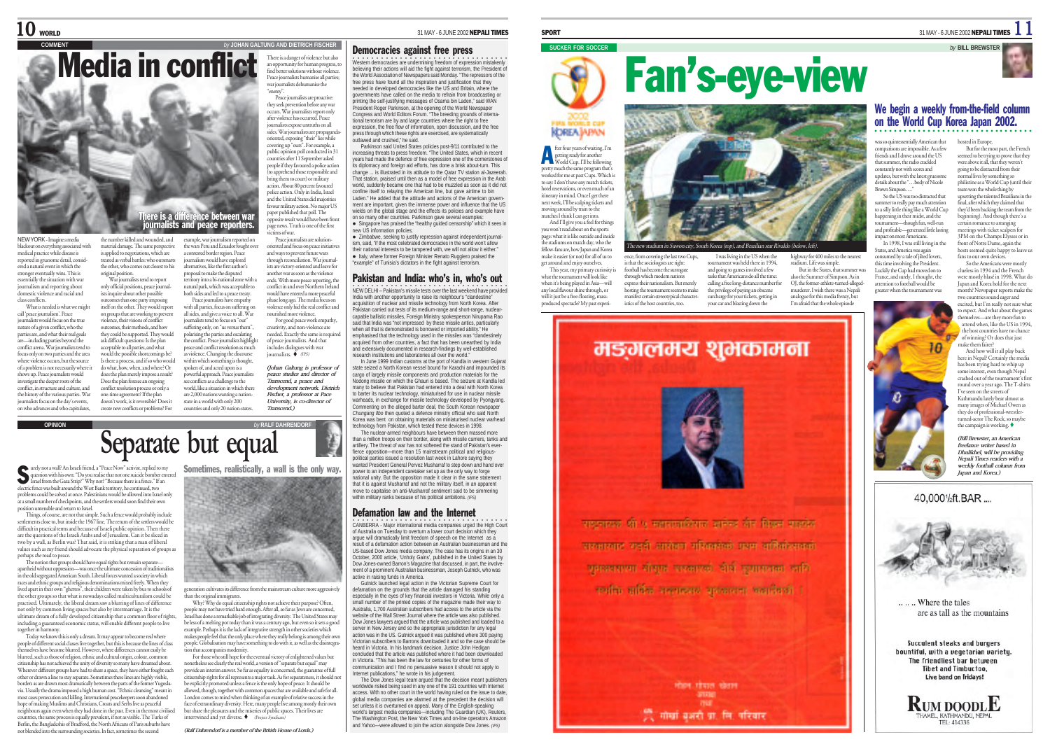#### **COMMENT** *by* **JOHAN GALTUNG AND DIETRICH FISCHER** Media in conflict There is a danger of violence but also an opportunity for human progress, to find better solutions without violence. Peace journalists humanise all parties; war journalists dehumanise the "enemy". Peace journalists are proactive: they seek prevention before any war occurs. War journalists report only after violence has occurred. Peace ournalists expose untruths on all sides. War journalists are propaganda-oriented, exposing "their" lies while covering up "ours". For example, a public opinion poll conducted in 31 countries after 11 September asked people if they favoured a police action apprehend those responsible and bring them to court) or military action. About 80 percent favoured police action. Only in India, Israel and the United States did majorities favour military action. No major US paper published that poll. The opposite result would have been front page news. Truth is one of the first <sub>ere is a difference between war</sub> journalists and peace reporters.

NEW YORK - Imagine a media blackout on everything associated with medical practice while disease is reported in gruesome detail, consid-ered a natural event in which the stronger eventually wins. This is estentially the situation with war journalism and reporting about domestic violence and racial and class conflicts. What is needed is what we might the number killed and wounded, and material damage. The same perspective

call 'peace journalism'. Peace journalists would focus on the true nature of a given conflict, who the parties are, and what their real goals are—including parties beyond the conflict arena. War journalists tend to focus only on two parties and the area where violence occurs, but the source of a problem is not necessarily where i shows up. Peace journalists would investigate the deeper roots of the conflict, in structure and culture, and the history of the various parties. War journalists focus on the day's events, on who advances and who capitulates, doesn't work, is it reversible? Does it create new conflicts or problems? For

treated as verbal battles: who outsmarts the other, who comes out closest to his original position. War journalists tend to report only official positions, peace journal-ists inquire about other possible atcomes than one party imposing itself on the other. They would report on groups that are working to prevent violence, their visions of conflict outcomes, their methods, and how they could be supported. They would ask difficult questions: Is the plan acceptable to all parties, and what would the possible shortcomings be Is there a process, and if so who would do what, how, when, and where? Or does the plan merely impose a result? Does the plan foresee an ongoing conflict resolution process or only a one-time agreement? If the plan

is applied to negotiations, which are the wars Peru and Ecuador fought over a contested border region. Peace journalism would have explored alternatives, like the first author's proposal to make the disputed territory into a bi-national zone with a natural park, which was acceptable to both sides and led to a peace treaty. Peace journalists have empathy with all parties, focus on suffering all sides, and give a voice to all. War journalists tend to focus on "our" suffering only, on "us versus them", polarising the parties and escalating polarising the parties and examining<br>the conflict. Peace journalists highligh peace and conflict resolution as much as violence. Changing the discourse within which something is thought,

example, war journalism reported on

spoken of, and acted upon is a powerful approach. Peace journalists see conflicts as a challenge to the world, like a situation in which there are 2,000 nations wanting a nationstate in a world with only 200

oriented and focus on peace initiatives and ways to prevent future wars through reconciliation. War journalists are victory-oriented and leave for another war as soon as the violence ends. With more peace reporting, the conflict in and over Northern Ireland would have entered a more peaceful <sup>p</sup>hase long ago. The media focus on violence only hid the real conflict and nourished more violence. For good peace work empathy, creativity, and non-violence are needed. Exactly the same is require of peace journalists. And that includes dialogues with war<br>journalists.  $\blacklozenge$  (IPS)

countries and only 20 nation-states *(Johan Galtung is professor of peace studies and director of Transcend, a peace and development network. Dietrich Fischer, a professor at Pace University, is co-director of Transcend.)*

ms of war. Peace journalists are solution-

**OPINION** *by* **RALF DAHRENDORF**

# **Separate but equal**

urely not a wall? An Israeli friend, a "Peace Now" activist, replied to my question with his own: "Do you realise that not one suicide bomber entered Israel from the Gaza Strip?" Why not? "Because there is a fence." If an electric fence was built around the West Bank territory, he continued, two problems could be solved at once. Palestinians would be allowed into Israel only S

at a small number of checkpoints, and the settlers would soon find their own position untenable and return to Israel.

Things, of course, are not that simple. Such a fence would probably include settlements close to, but inside the 1967 line. The return of the settlers would be difficult in practical terms and because of Israeli public opinion. Then there are the questions of the Israeli Arabs and of Jerusalem. Can it be sliced in two by a wall, as Berlin was? That said, it is striking that a man of liberal values such as my friend should advocate the physical separation of groups as perhaps the road to peace.

The notion that groups should have equal rights but remain separate— apartheid without oppression—was once the ultimate concession of traditionalists in the old segregated American South. Liberal forces wanted a society in which races and ethnic groups and religious denominations mixed freely. When they lived apart in their own "ghettos", their children were taken by bus to schools of the other groups so that what is nowadays called multiculturalism could be practised. Ultimately, the liberal dream saw a blurring of lines of difference not only by common living spaces but also by intermarriage. It is the ultimate dream of a fully developed citizenship that a common floor of rights, including a guaranteed economic status, will enable different people to live together in harmony.

Today we know this is only a dream. It may appear to become real where people of different social classes live together, but this is because the lines of class themselves have become blurred. However, where differences cannot easily be blurred, such as those of religion, ethnic and cultural origin, colour, common citizenship has not achieved the unity of diversity so many have dreamed about. Wherever different groups have had to share a space, they have either fought each other or drawn a line to stay separate. Sometimes these lines are highly visible, borders as are drawn most dramatically between the parts of the former Yugoslavia. Usually the drama imposed a high human cost. "Ethnic cleansing" meant in most cases persecution and killing. International peacekeepers soon abandoned hope of making Muslims and Christians, Croats and Serbs live as peaceful neighbours again even when they had done in the past. Even in the most civilised countries, the same process is equally prevalent, if not as visible. The Turks of Berlin, the Bangladeshis of Bradford, the North Africans of Paris suburbs have not blended into the surrounding societies. In fact, sometimes the second

Sometimes, realistically, a wall is the only way.

ration cultivates its difference from the mainstream culture more aggressively in the original immigrants.

Why? Why do equal citizenship rights not achieve their purpose? Often, people may not have tried hard enough. After all, so far as Jews are concerned, Israel has done a remarkable job of integrating diversity. The United States may be less of a melting pot today than it was a century ago, but even so it sets a good example. Perhaps it is the lack of integrative strength in other societies which makes people feel that the only place where they really belong is among their own people. Globalisation may have something to do with it, as well as the disintegra-

tion that accompanies modernity. For those who still hope for the eventual victory of enlightened values but nonetheless see clearly the real world, a version of "separate but equal" may provide an interim answer. So far as equality is concerned, the guarantee of full citizenship rights for all represents a major task. As for separateness, it should not be explicitly promoted unless a fence is the only hope of peace. It should be allowed, though, together with common spaces that are available and safe for all.<br>London comes to mind when thinking of an example of relative success in the  $\epsilon$  mind when thinking of an example of relative success in the face of extraordinary diversity. Here, many people live among mostly their own but share the pleasures and the miseries of public spaces. Their lives are  $interwined$  and yet diverse.  $\blacklozenge$  (Project Syndicate)

*(Ralf Dahrendorf is a member of the British House of Lords.)*

## Democracies against free press

○○○○○○○○○○○○○○○○○○○○ ○○○○○○○○○○○○○ Western democracies are undermining freedom of expression mistakenly believing their actions will aid the fight against terrorism, the President of the World Association of Newspapers said Monday. "The repressors of the free press have found all the inspiration and justification that they needed in developed democracies like the US and Britain, where the governments have called on the media to refrain from broadcasting or

printing the self-justifying messages of Osama bin Laden," said WAN President Roger Parkinson, at the opening of the World Newspaper Congress and World Editors Forum. "The breeding grounds of international terrorism are by and large countries where the right to free expression, the free flow of information, open discussion, and the free press through which these rights are exercised, are systematically outlawed and crushed," he said.

Parkinson said United States policies post-9/11 contributed to the increasing threats to press freedom. "The United States, which in recent years had made the defence of free expression one of the cornerstones of its diplomacy and foreign aid efforts, has done a brisk about-turn. This change ... is illustrated in its attitude to the Qatar TV station al-Jazeerah That station, praised until then as a model of free expression in the Arab world, suddenly became one that had to be muzzled as soon as it did not confine itself to relaying the American line, but gave airtime to bin Laden." He added that the attitude and actions of the American government are important, given the immense power and influence that the US wields on the global stage and the effects its policies and example have on so many other countries. Parkinson gave several examples: • Singapore has praised the "healthy guided censorship" which it sees in

new US information policies;

• Zimbabwe, seeking to justify repression against independent journalism, said, "if the most celebrated democracies in the world won't allow their national interests to be tampered with, we will not allow it either." e Italy, where former Foreign Minister Renato Ruggiero praised the "example" of Tunisia's dictators in the fight against terrorism.

## Pakistan and India: who's in, who's out

•<br>NEW DELHI – Pakistan's missile tests over the last weekend have provided India with another opportunity to raise its neighbour's "clandestine" acquisition of nuclear and missile technology from North Korea. After Pakistan carried out tests of its medium-range and short-range, nuclearcapable ballistic missiles, Foreign Ministry spokesperson Nirupama Rao said that India was "not impressed by these missile antics, particularly when all that is demonstrated is borrowed or imported ability." He emphasised that the technology used in the missiles was "clandestinely acquired from other countries, a fact that has been unearthed by India and extensively documented in research-findings by well-established research institutions and laboratories all over the world."

In June 1999 Indian customs at the port of Kandla in western Gujarat state seized a North Korean vessel bound for Karachi and impounded its cargo of largely missile components and production materials for the Nodong missile on which the Ghauri is based. The seizure at Kandla led many to believe that Pakistan had entered into a deal with North Korea to barter its nuclear technology, miniaturised for use in nuclear missile warheads, in exchange for missile technology developed by Pyongyang. Commenting on the alleged barter deal, the South Korean newspaper *Chungang Ilbo* then quoted a defence ministry official who said North Korea was bent on obtaining materials on miniaturised nuclear warhead technology from Pakistan, which tested these devices in 1998.

The nuclear-armed neighbours have between them massed more than a million troops on their border, along with missile carriers, tanks and artillery. The threat of war has not softened the stand of Pakistan's everfierce opposition—more than 15 mainstream political and religiouspolitical parties issued a resolution last week in Lahore saying they wanted President General Pervez Musharraf to step down and hand over power to an independent caretaker set up as the only way to forge national unity. But the opposition made it clear in the same statement that it is against Musharraf and not the military itself, in an apparent move to capitalise on anti-Musharraf sentiment said to be simmering within military ranks because of his political ambitions. *(IPS)*

#### Defamation law and the Internet

•<br>CANBERRA - Major international media companies urged the High Court of Australia on Tuesday to overturn a lower court decision which they argue will dramatically limit freedom of speech on the Internet as a result of a defamation action between an Australian businessman and the US-based Dow Jones media company. The case has its origins in an 30 October, 2000 article, 'Unholy Gains', published in the United States by Dow Jones-owned Barron's Magazine that discussed, in part, the involvement of a prominent Australian businessman, Joseph Gutnick, who was active in raising funds in America.

Gutnick launched legal action in the Victorian Supreme Court for defamation on the grounds that the article damaged his standing especially in the eyes of key financial investors in Victoria. While only a small number of the printed copies of the magazine made their way to Australia, 1,700 Australian subscribers had access to the article via the website of the Wall Street Journal where the article was also published. Dow Jones lawyers argued that the article was published and loaded to a server in New Jersey and so the appropriate jurisdiction for any legal action was in the US. Gutnick argued it was published where 300 paying Victorian subscribers to Barrons downloaded it and so the case should be heard in Victoria. In his landmark decision, Justice John Hedigan concluded that the article was published where it had been downloaded in Victoria. "This has been the law for centuries for other forms of communication and I find no persuasive reason it should not apply to Internet publications," he wrote in his judgement.

The Dow Jones legal team argued that the decision meant publishers worldwide risked being sued in any one of the 191 countries with Internet access. With no other court in the world having ruled on the issue to date, global media companies are alarmed at the precedent the decision will set unless it is overturned on appeal. Many of the English-speaking world's largest media companies—including The Guardian (UK), Reuters, The Washington Post, the New York Times and on-line operators Amazon and Yahoo—were allowed to join the action alongside Dow Jones. *(IPS)*

# **SUCKER FOR SOCCER** *by* **BILL BREWSTER** Fan's-eye-view



ting the tournament seems to make manifest certain stereotypical character-<br>istics of the host countries, too. ence, from concing the last woo Cases, and the main of the state of the state of the state of the state of the state of the state of the state of the state of the state of the state of the state of the state of the state

States, and America y consumed by a tale of jilted lovers,

Luckily the Cup had moved on to<br>France and surely I thought, the France, and surely, I thought, the attention to football would be greater when the tournament was clueless in 1994 and the French Japan and Korea hold for the next month? Newspaper reports make the







.... Where the tales

bountiful, with a vegetarian variety. The friendliest bar between **Tibet and Timbuctoo.** Live band on fridays!

**RUM DOODLE** MEL KATHMAND/L NEDA TFL: 414336

ince, item to the sociologists are right: football has become the surrogate through which modern nation express their nationalism. But merel

पादनात्मक शी ५ महाराजाविराज जानेन्द्र जीर विखस प्रत्यक्षेत्र परभारतात राजनी आरोकन महिनारांको प्रथम आफ्रिकेशनको प्रभावयाच्या संस्था सरकारको दीर्घ उत्पासनका आणि रायकि अधिक सल्यादशय अवकारण अवस्थिती ।

> Phoe Thurs elern **STER**

हीं, गोर्खा बजरी प्रा. लि. परिवार

मङ्गलमय शुभकामना

fter four years of waiting, I'm fter four years of waiting, I'm<br>getting ready for another<br>World Cup. I'll be following pretty much the same program that's worked for me at past Cups. Which is to say: I don't have any match tickets, hotel reservations, or even much of an itinerary in mind. Once I get there next week, I'll be scalping tickets and moving around by train to the matches I think I can get into. And I'll give you a feel for thing you won't read about on the sports .<br>page: what it is like outside and inside the stadiums on match day, who the fellow-fans are, how Japan and Korea make it easier (or not) for all of us to get around and enjoy ourselves. This year, my primary curiosity is what the tournament will look like when it's being played in Asia—will any local flavour shine through, or will it just be a free-floating, massproduced spectacle? My past exper

**KOREA APAN** 

## We begin a weekly from-the-field column on the World Cup Korea Japan 2002.

But for the most part, the French seemed to be trying to prove that they were above it all, that they weren't going to be distracted from their normal lives by something so philistine as a World Cup (until their team won the whole thing by upsetting the talented Brazilians in the final, after which they claimed that they'd been backing the team from the beginning). And though there's a certain romance to arranging meetings with ticket scalpers for 3PM on the Champs Elysses or in front of Notre Dame, again the hosts seemed quite happy to leave fans to our own devices. So the Americans were mostly

were mostly blasé in 1998. What do

ound eager and excited, but I'm really not sure what to expect. And what about the game s—are they more fun to

was so quintessentially American that comparisons are impossible. As a few friends and I drove around the US that summer, the radio crackled constantly not with scores and updates, but with the latest gruesom details about the "…body of Nicole Brown Simpson…." So the US was too distracted that hosted in Europe. ○○○○○○○○○○○○○○○○○○○○○○○○○○○○○○○○○

ummer to really pay much attention to a silly little thing like a World Cup happening in their midst, and the tournament fundament<br>Tournament fundament and profitable—generated little lasting impact on most Americans. In 1998, I was still living in the

this time involving the President.

attend when, like the US in 1994, the host countries have no chance of winning? Or does that just make them fairer? And how will it all play back here in Nepal? Certainly the media has been trying hard to whip up some interest, even though Nepal crashed out of the tournan

round over a year ago. The T-shirts I've seen on the streets of Kathmandu lately bear almost as many images of Michael Owen as they do of professional-wrestler-turned-actor The Rock, so maybe the campaign is working.



are as tall as the mountains Succulent steaks and burgers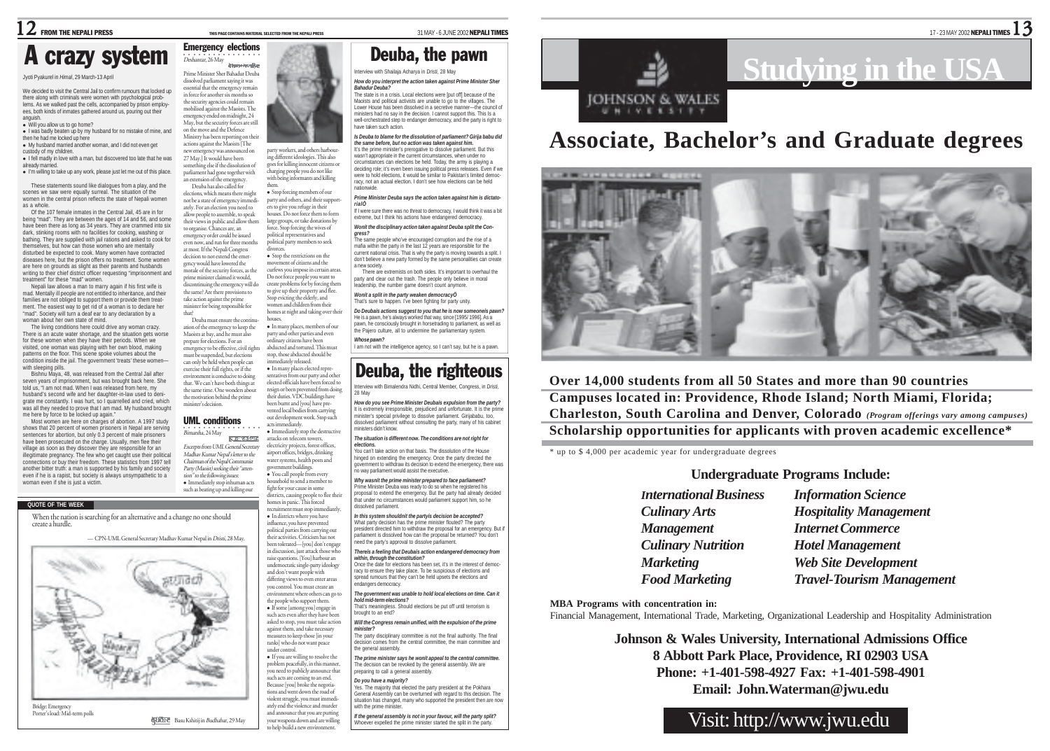Interview with Shailaja Acharya in *Dristi*, 28 May *How do you interpret the action taken against Prime Minister Sher*

The state is in a crisis. Local elections were [put off] because of the Maoists and political activists are unable to go to the villages. The Lower House has been dissolved in a secretive manner—the council of ministers had no say in the decision. I cannot support this. This Is a well-orchestrated step to endanger democracy, and the party is right to

Deuba, the pawn

*Is Deuba to blame for the dissolution of parliament? Girija babu did the same before, but no action was taken against him.* It's the prime minister's prerogative to dissolve parliament. But this wasn't appropriate in the current circumstances, when under no circumstances can elections be held. Today, the army is playing a deciding role; it's even been issuing political press releases. Even if we were to hold elections, it would be similar to Pakistan's limited democracy, not an actual election. I don't see how elections can be held

*Prime Minister Deuba says the action taken against him is dictato- rialÖ* .....<br>If I were sure there was no threat to democracy, I would think it was a bi extreme, but I think his actions have endangered democracy. *Wonít the disciplinary action taken against Deuba split the Con-*

The same people who've encouraged corruption and the rise of a mafia within the party in the last 12 years are responsible for the current national crisis. That is why the party is moving towards a split. I don't believe a new party formed by the same personalities can create

There are extremists on both sides. It's important to overhaul the party and clear out the trash. The people only believe in moral eadership, the number game doesn't count anymore. *Wonít a split in the party weaken democracyÖ* That's sure to happen. I've been fighting for party unity. *Do Deubaís actions suggest to you that he is now someoneís pawn?* He is a pawn, he's always worked that way, since [1995/ 1996]. As a pawn, he consciously brought in horsetrading to parliament, as well as he Paiero culture, all to undermine the parliamentary system

I am not with the intelligence agency, so I can't say, but he is a pawn.

Interview with Bimalendra Nidhi, Central Member, Congress, in *Dristi*,

Deuba, the righteous

*How do you see Prime Minister Deubaís expulsion from the party?* It is extremely irresponsible, prejudiced and unfortunate. It is the prime minister's special privilege to dissolve parliament. Girijababu, too, dissolved parliament without consulting the party, many of his cabinet

*The situation is different now. The conditions are not right for*

You can't take action on that basis. The dissolution of the House hinged on extending the emergency. Once the party directed the overnment to withdraw its decision to extend the emergency, there was

no way parliament would assist the executive. *Why wasnít the prime minister prepared to face parliament?* Prime Minister Deuba was ready to do so when he registered his proposal to extend the emergency. But the party had already decided

*Bahadur Deuba?*

have taken such action.

nationwide.

*gress?*

a new society.

*Whose pawn?*

28 May

*elections.*

ministers didn't know.

## Emergency elections crazy system

#### Jyoti Pyakurel in *Himal*, 29 March-13 April

We decided to visit the Central Jail to confirm rumours that locked up there along with criminals were women with psychological problems. As we walked past the cells, accompanied by prison employees, both kinds of inmates gathered around us, pouring out their anguish. • Will you allow us to go home?

• I was badly beaten up by my husband for no mistake of mine, and then he had me locked up here

• My husband married another woman, and I did not even get custody of my children.

**.** I fell madly in love with a man, but discovered too late that he was already married.

. I'm willing to take up any work, please just let me out of this place.

These statements sound like dialogues from a play, and the scenes we saw were equally surreal. The situation of the women in the central prison reflects the state of Nepali women as a whole.

Of the 107 female inmates in the Central Jail, 45 are in for being "mad". They are between the ages of 14 and 56, and some have been there as long as 34 years. They are crammed into six dark, stinking rooms with no facilities for cooking, washing or bathing. They are supplied with jail rations and asked to cook for themselves, but how can those women who are mentally disturbed be expected to cook. Many women have contracted diseases here, but the prison offers no treatment. Some women are here on grounds as slight as their parents and husbands writing to their chief district officer requesting "imprisonment and treatment" for these "mad" women.<br>Nenali law allows a man to marry anain if his first wife is

Nepali law allows a man to marry again if his first wife is mad. Mentally ill people are not entitled to inheritance, and their families are not obliged to support them or provide them treatment. The easiest way to get rid of a woman is to declare her "mad". Society will turn a deaf ear to any declaration by a woman about her own state of mind.

The living conditions here could drive any woman crazy. There is an acute water shortage, and the situation gets worse for these women when they have their periods. When we visited, one woman was playing with her own blood, making patterns on the floor. This scene spoke volumes about the condition inside the jail. The government 'treats' these women with sleeping pills.

Bishnu Maya, 48, was released from the Central Jail after seven years of imprisonment, but was brought back here. She told us, "I am not mad. When I was released from here, my husband's second wife and her daughter-in-law used to denigrate me constantly. I was hurt, so I quarrelled and cried, which was all they needed to prove that I am mad. My husband brought me here by force to be locked up again."

Most women are here on charges of abortion. A 1997 study shows that 20 percent of women prisoners in Nepal are serving sentences for abortion, but only 0.3 percent of male prisoners have been prosecuted on the charge. Usually, men flee their village as soon as they discover they are responsible for an

illegitimate pregnancy. The few who get caught use their political connections or buy their freedom. These statistics from 1997 tell another bitter truth: a man is supported by his family and society even if he is a rapist, but society is always unsympathetic to a woman even if she is just a victim.

#### **QUOTE OF THE WEEK**

When the nation is searching for an alternative and a change no one should<br>create a hurdle.



○○○○○○○○○○○○○○○○ Deshantar, 26 May **Items receive** Prime Minister Sher Bahadur Deuba dissolved parliament saying it was essential that the emergency remain in force for another six months so the security agencies could remain me security agencies could remain<br>mobilised against the Maoists. The emergency ended on midnight, 24 May, but the security forces are still on the move and the Defence



ing different ideologies. This also s for killing innocent citizens o charging people you do not like with being informants and killing them.

• Stop forcing members of our party and others, and their support ers to give you refuge in their houses. Do not force them to form large groups, or take donations by force. Stop forcing the wives of political representatives and political party members to seek

morale of the security forces, as the prime minister claimed it would, discontinuing the emergency will do the same? Are there provisions to take action against the prime minister for being responsible for Deuba must ensure the continudivorces. • Stop the restrictions on the movement of citizens and the curfews you impose in certain areas Do not force people you want to create problems for by forcing them to give up their property and flee. Stop evicting the elderly, and nen and children from their homes at night and taking over their houses.

ation of the emergency to keep the Maoists at bay, and he must also prepare for elections. For an emergency to be effective, civil rights st be suspended, but elections can only be held when people can exercise their full rights, or if the • In many places, members of our party and other parties and even dinary citizens have been abducted and tortured. This must stop, those abducted should be immediately released. · In many places elected representatives from our party and other

environment is conducive to doing that. We can't have both things at the same time. One wonders about the motivation behind the prime minister's decision. elected officials have been forced to resign or been prevented from doing their duties. VDC buildings have been burnt and [you] have prevented local bodies from carrying

## UML conditions

that?

government buildings. <sup>z</sup> You call people from every sehold to send a member to fight for your cause in some districts, causing people to flee their

> influence, you have prevented political parties from carrying out their activities. Criticism has not been tolerated—[you] don't engage in discussion, just attack those who raise questions. [You] harbour an undemocratic single-party ideology and don't want people with differing views to even enter areas you control. You must create an environment where others can go to the people who support them. • If some [among you] engage in such acts even after they have been asked to stop, you must take action against them, and take necessary measures to keep those [in your ranks] who do not want peace under control. <sup>z</sup> If you are willing to resolve the problem peacefully, in this manner, you need to publicly announce that such acts are coming to an end. Because [you] broke the negotia-tions and went down the road of violent struggle, you must immedi-ately end the violence and murder and announce that you are putting your weapons down and are willing to help build a new environment.

out development work. Stop such

hat under no circumstances would parliament support him, so he dissolved parliament. *In this system shouldnít the partyís decision be accepted?* What party decision has the prime minister flouted? The party president directed him to withdraw the proposal for an emergency. But if parliament is dissolved how can the proposal be returned? You don't

racy to ensure they take place. To be suspicious of elections and spread rumours that they can't be held upsets the elections and .<br>Indangers democracy

*hold mid-term elections?* That's meaningless. Should elections be put off until terrorism is

*Will the Congress remain unified, with the expulsion of the prime*

The party disciplinary committee is not the final authority. The final

*The prime minister says he wonít appeal to the central committee.* The decision can be revoked by the general assembly. We are

Yes. The majority that elected the party president at the Pokhara General Assembly can be overturned with regard to this decision. The ituation has changed, many who supported the president then are no with the prime minister.

*If the general assembly is not in your favour, will the party split?* Whoever expelled the prime minister started the split in the party.



# **Associate, Bachelor's and Graduate degrees**



**Over 14,000 students from all 50 States and more than 90 countries Campuses located in: Providence, Rhode Island; North Miami, Florida; Charleston, South Carolina and Denver, Colorado** *(Program offerings vary among campuses)* **Scholarship opportunities for applicants with proven academic excellence\***

\* up to \$ 4,000 per academic year for undergraduate degrees

## **Undergraduate Programs Include:**

*Management Internet Commerce*

*International Business Information Science Culinary Arts Hospitality Management Culinary Nutrition Hotel Management Marketing Web Site Development Food Marketing Travel-Tourism Management*

**MBA Programs with concentration in:**

Financial Management, International Trade, Marketing, Organizational Leadership and Hospitality Administration

**Johnson & Wales University, International Admissions Office**

**8 Abbott Park Place, Providence, RI 02903 USA**

## **Phone: +1-401-598-4927 Fax: +1-401-598-4901**

**Email: John.Waterman@jwu.edu**

## Visit: http://www.jwu.edu

Bimarsha, 24 May **REAC** AND INTER-Excerpts from UML General Secretary Madhav Kumar Nepal's letter to the Chairman of the Nepal Communist



Party (Maoist) seeking their "attention" to the following issues:

> homes in panic. This forced recruitment must stop immediately. • In districts where you have

eed the party's approval to dissolve parliament.

#### *Thereís a feeling that Deubaís action endangered democracy from within, through the constitution?*

Once the date for elections has been set, it's in the interest of democ-

## *The government was unable to hold local elections on time. Can it*

brought to an end?

#### *minister?*

decision comes from the central committee, the main committee and the general assembly.

preparing to call a general assembly.

#### *Do you have a majority?*

Ministry has been reporting on their actions against the Maoists [The new emergency was announced on 27 May.] It would have been something else if the dissolution of parliament had gone together with extension of the emergency Deuba has also called for elections, which means there might not be a state of emergency immedi-

ately. For an election you need to allow people to assemble, to speak their views in public and allow them to organise. Chances are, an emergency order could be issued even now, and run for three months at most. If the Nepali Congress decision to not extend the emergency would have lowered the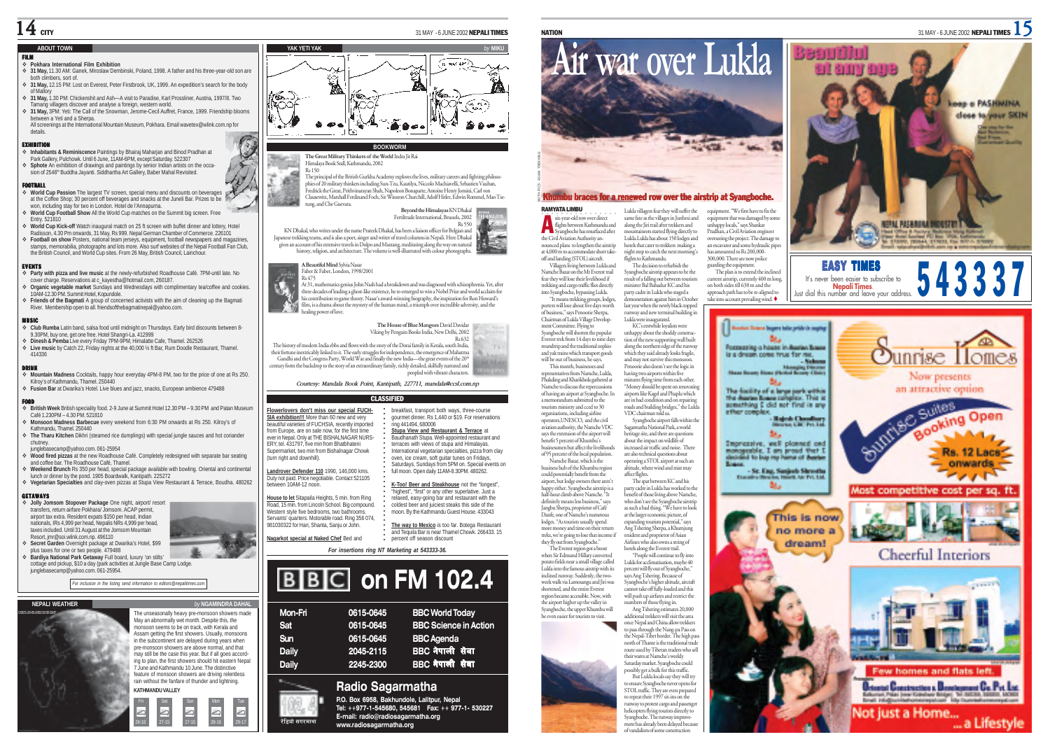#### **ABOUT TOWN**

### FILM **Pokhara International Film Exhibition**

- **31 May,** 11.30 AM: Ganek, Miroslaw Dembinski, Poland, 1998. A father and his three-year-old son are both climbers, sort of.
- **31 May,** 12.15 PM: Lost on Everest, Peter Firstbrook, UK, 1999. An expedition's search for the body of Mallory
- **31 May,** 1.30 PM: Chickenshit and Ash—A visit to Paradise, Karl Prossliner, Austria, 1997/8. Two Tamang villagers discover and analyse a foreign, western world.
- **31 May,** 3PM: Yeti: The Call of the Snowman, Jerome-Cecil Auffret, France, 1999. Friendship blooms between a Yeti and a Sherpa.
- All screenings at the International Mountain Museum, Pokhara. Email wavetex@wlink.com.np for details.

EXHIBITION **Inhabitants & Reminiscence** Paintings by Bhairaj Maharjan and Binod Pradhan at Park Gallery, Pulchowk. Until 6 June, 11AM-6PM, except Saturday. 522307 **Sphote** An exhibition of drawings and paintings by senior Indian artists on the occasion of 2546<sup>th</sup> Buddha Jayanti. Siddhartha Art Gallery, Baber Mahal Revisited.

- **FOOTBALL**<br>❖ World Cup Passion The largest TV screen, special menu and discounts on beverages at the Coffee Shop; 30 percent off beverages and snacks at the Juneli Bar. Prizes to be won, including stay for two in London. Hotel de l'Annapurna.
- **World Cup Football Show** All the World Cup matches on the Summit big screen. Free Entry. 521810
- **World Cup Kick-off** Watch inaugural match on 25 ft screen with buffet dinner and lottery, Hotel
- Radisson, 4.30 Pm onwards, 31 May, Rs 999. Nepal German Chamber of Commerce. 226101  $\triangle$  **Football on show** Posters, national team jerseys, equipment, football newspapers and magaz stamps, memorabilia, photographs and lots more. Also surf websites of the Nepal Football Fan Club, the British Council, and World Cup sites. From 26 May, British Council, Lainchour.

- **Party with pizza and live music** at the newly-refurbished Roadhouse Café. 7PM-until late. No cover charge. Reservations at c\_kayestha@hotmail.com, 260187.
- **Organic vegetable market** Sundays and Wednesdays with complimentary tea/coffee and cookies. 10AM-12.30 PM. Summit Hotel, Kopundole.
- **Friends of the Bagmati** A group of concerned activists with the aim of cleaning up the Bagmati River. Membership open to all. friendsofthebagmatinepal@yahoo.com.

- **Club Rumba** Latin band, salsa food until midnight on Thursdays. Early bird discounts between 8- 9.30PM, buy one, get one free. Hotel Shangri-La. 412999
- **Dinesh & Pemba** Live every Friday 7PM-9PM, Himalatte Cafe, Thamel. 262526 **Live music** by Catch 22, Friday nights at the 40,000 ½ ft Bar, Rum Doodle Restaurant, Thamel. 414336

 **Mountain Madness** Cocktails, happy hour everyday 4PM-8 PM, two for the price of one at Rs 250. Kilroy's of Kathmandu, Thamel. 250440 **Fusion Bar** at Dwarika's Hotel. Live blues and jazz, snacks, European ambience 479488

- FOOD **British Week** British speciality food. 2-9 June at Summit Hotel 12.30 PM 9.30 PM and Patan Museum Café 1.230PM – 4.30 PM. 521810
- **Monsoon Madness Barbecue** every weekend from 6:30 PM onwards at Rs 250. Kilroy's of Kathmandu, Thamel. 250440 **The Tharu Kitchen** Dikhri (steamed rice dumplings) with special jungle sauces and hot coriander
- chutney. junglebasecamp@yahoo.com. 061-25954
- **Wood fired pizzas** at the new Roadhouse Café. Completely redesigned with separate bar seating and coffee bar. The Roadhouse Café, Thamel
- **Weekend Brunch** Rs 350 per head, special package available with bowling. Oriental and continental lunch or dinner by the pond. 1905 Boardwalk, Kantipath. 225272
- **Vegetarian Specialties** and clay-oven pizzas at Stupa View Restaurant & Terrace, Boudha. 480262

#### GETAWAYS

- **Jolly Jomsom Stopover Package** One night, airport/ resort transfers, return airfare Pokhara/ Jomsom. ACAP permit, airport tax extra. Resident expats \$150 per head, Indian nationals, IRs 4,999 per head, Nepalis NRs 4,999 per head, taxes included. Until 31 August at the Jomsom Mountain Resort, jmr@soi.wlink.com.np. 496110
- **Secret Garden** Overnight package at Dwarika's Hotel, \$99
- plus taxes for one or two people. 479488 **Bardiya National Park Getaway** Full board, luxury 'on stilts' cottage and pickup, \$10 a day (park activities at Jungle Base Camp Lodge.
- junglebasecamp@yahoo.com. 061-25954.







#### The unseasonally heavy pre-monsoon showers made May an abnormally wet month. Despite this, the monsoon seems to be on track, with Kerala and Assam getting the first showers. Usually, monsoons in the subcontinent are delayed during years when pre-monsoon showers are above normal, and that may still be the case this year. But if all goes according to plan, the first showers should hit eastern Nepal 7 June and Kathmandu 10 June. The distinctive feature of monsoon showers are driving relentless rain without the fanfare of thunder and lightning.

28-16 27-15 27-15 28-16 29-17

**KATHMANDU VALLEY**

6 6



(turn right and downhill).

Duty not paid. Price negotiable. Contact 521105 between 10AM-12 noon.

**House to let** Sitapaila Heights, 5 min. from Ring Road, 15 min. from Lincoln School. Big compound. Western style five bedrooms, two bathrooms. Servants' quarters. Motorable road. Ring 356 074, 981030322 for Hari, Shanta, Sanju or John.



The principal of the British Gurkha Academy explores the lives, military careers and fighting philoso-<sup>p</sup>hies of 20 military thinkers including Sun-Tzu, Kautilya, Niccolo Machiavelli, Sebastien Vauban, Fredrick the Great, Prithvinarayan Shah, Napoleon Bonaparte, Antoine Henry Jomini, Carl von Clausewitz, Marshall Ferdinand Foch, Sir Winston Churchill, Adolf Hitler, Edwin Rommel, Mao Tsetung, and Che Guevara.

**Beyond the Himalayas** KN Dhakal Fertiltrade International, Brussels, 2002

Rs 550 KN Dhakal, who writes under the name Prateek Dhakal, has been a liaison officer for Belgian and Japanese trekking teams, and is also a poet, singer and writer of travel columns in Nepali. Here Dhakal gives an account of his extensive travels in Dolpo and Mustang, meditating along the way on natural history, religion, and architecture. The volume is well-illustrated with colour photographs.

> **A Beautiful Mind** Sylvia Nasar Faber & Faber, London, 1998/2001 Rs 475

At 31, mathematics genius John Nash had a breakdown and was diagnosed with schizophrenia. Yet, after three decades of leading a ghost-like existence, he re-emerged to win a Nobel Prize and world acclaim for<br>his contribution to game theory. Nasar's award-winning biography, the inspiration for Ron Howard's<br>film, is a drama healing power of love.

> **The House of Blue Mangoes** David Davidar Viking by Penguin Books India, New Delhi, 2002  $Re(32)$

The history of modern India ebbs and flows with the story of the Dorai family in Kerala, south India, their fortune inextricably linked to it. The early struggles for independence, the emergence of Mahatma Gandhi and the Congress Party, World War and finally the new India-the great events of the 20<sup>th</sup> century form the backdrop to the story of an extraordinary family, richly detailed, skilfully narrated and peopled with vibrant characters.

*Courtesy: Mandala Book Point, Kantipath, 227711, mandala@ccsl.com.np*

#### CLASSIFIED ○○○○○○○○○○○○○○○○ **Flowerlovers don't miss our special FUCH-SIA exhibition!!!** More than 60 new and very beautiful varieties of FUCHSIA, recently imported from Europe, are on sale now, for the first time ever in Nepal. Only at THE BISHALNAGAR NURS-ERY, tel. 431797, five min from Bhatbhateni Supermarket, two min from Bishalnagar Chowk **Landrover Defender 110** 1990, 146,000 kms. breakfast, transport both ways, three-course gourmet dinner. Rs 1,440 or \$19. For reservations ring 441494, 680006 **Stupa View and Restaurant & Terrace** at Baudhanath Stupa. Well-appointed restaurant and terraces with views of stupa and Himalayas. International vegetarian specialties, pizza from clay oven, ice cream, soft guitar tunes on Fridays, Saturdays, Sundays from 5PM on. Special events on

○○○○○○○○○○○○ full moon. Open daily 11AM-8.30PM. 480262. **K-Too! Beer and Steakhouse** not the "longest", "highest", "first" or any other superlative. Just a relaxed, easy-going bar and restaurant with the coldest beer and juiciest steaks this side of the moon. By the Kathmandu Guest House. 433043

**The way to Mexico** is too far. Botega Restaurant and Tequila Bar is near Thamel Chowk. 266433. 15

percent off season discount

*For insertions ring NT Marketing at 543333-36.* **Nagarkot special at Naked Chef** Bed and

# **BBC** on FM 102.4

| Mon-Fri      | 0615-0645 | <b>BBC World Today</b>       |
|--------------|-----------|------------------------------|
| Sat          | 0615-0645 | <b>BBC Science in Action</b> |
| Sun          | 0615-0645 | <b>BBC</b> Agenda            |
| <b>Daily</b> | 2045-2115 | BBC नेपाली सेवा              |
| <b>Daily</b> | 2245-2300 | BBC नेपाली सेवा              |
|              |           |                              |

## **Radio Sagarmatha**

**P.O. Box 6958, Bakhundole, Lalitpur, Nepal Tel: ++977-1-545680, 545681 Fax: ++ 977-1- 530227 E-mail: radio@radiosagarmatha.org www.radiosagarmatha.org**



### braces for a renewed row over the airstrip at Svangboche.

RAMYATA LIMBU six-year-old row over direct flights between Kathmandu and vangboche has resurfaced after the Civil Aviation Authority announced plans to lengthen the airstrip at 4,000 m to accommodate short take-off and landing (STOL) aircraft. Lukla villagers fear they will suffer the same fate as the villages in Junbesi and along the Jiri trail after trekkers and<br>mountaineers started flying directly to mountaineers started flying directly to Lukla.Lukla has about 150 lodges and hotels that cater to trekkers making a night stop to catch the next morning's flights to Kathmandu.

A

Villagers living between Lukla and Namche Bazar on the Mt Everest trail fear they will lose their livelihood if trekking and cargo traffic flies directly into Syangboche, bypassing Lukla. "It means trekking groups, lodges, porters will lose about five days worth of business," says Penoorie Sherpa, The decision to refurbish the Syangboche airstrip appears to be the result of a falling out between tourism minister Bal Bahadur KC and his party cadre in Lukla who staged a demonstration against him in October last year when the newly black-topped runway and new terminal building in

Chairman of Lukla Village Development Committee. Flying to Syangboche will shorten the popular Everest trek from 14 days to nine days roundtrip and the traditional zopkio and yak trains which transport goods will be out of business, he says. This month, businesses and Lukla were inaugurated. KC's erstwhile loyalists were nhappy about the shoddy constr tion of the new supporting wall built along the northern edge of the runway wong the normality sage of the rangile,<br>which they said already looks fragile, and may not survive this mons Penoorie also doesn't see the logic in

representatives from Namche, Lukla, Phakding and Kharikhola gathered at Namche to discuss the repercussions of having an airport at Syangboche. In dum submitted to the tourism ministry and cced to 30 organisations, including airline operators,UNESCO, and the civil having two airports within five minutes flying time from each other. "Money should be spent on renovating airports like Kagel and Phaplu which are in bad condition and on repairing roads and building bridges," the Lukla VDC chairman told us. Syangboche airport falls within the

aviation authority, the Namche VDC says the extension of the airport will benefit 5 percent of Khumbu's businessmen but affect the livelihoods of 95 percent of the local population. Namche Bazar, which is the business hub of the Khumbu region could potentially benefit from the airport, but lodge owners there aren't Sagarmatha National Park, a world heritage site, and there are questions about the impact on wildlife of increased air traffic and noise. There are also technical questions about operating a STOL airport at such an altitude, where wind and mist may affect flights. The spat between KC and his

happy either. Syangboche airstrip is a half-hour climb above Namche. "It definitely means less business," says Jangbu Sherpa, proprietor of Café Danfe, one of Namche's numerous lodges. "As tourists usually spend more money and time on their return treks, we're going to lose that income if they fly out from Syangboche. The Everest region got a boost party cadre in Lukla has worked to the benefit of those living above Namche, who don't see the Syangboche airstrip as such a bad thing. "We have to look at the larger economic picture, of expanding tourism potential," says Ang Tshering Sherpa, a Khumjung resident and proprietor of Asian Airlines who also owns a string of hotels along the Everest trail.

when Sir Edmund Hillary converted potato fields near a small village called Lukla into the famous airstrip with its inclined runway. Suddenly, the twoweek walk via Lamosangu and Jiri was shortened, and the entire Everest region became accessible. Now, with the airport higher up the valley in Syangboche, the upper Khumbu will "People will continue to fly into Lukla for acclimatisation, maybe 40 percent will fly out of Syangboche," ws Ang Tshering. Because of Syangboche's higher altitude, aircraft cannot take off fully-loaded and this will push up airfares and restrict the numbers of those flying in.

even easier for tourists to visit. Ang Tshering estimates 20,000 additional trekkers will visit the area once Nepal and China allow trekkers to pass through the Nang-pa Pass on

the Nepal-Tibet border. The high pass north of Thame is the traditional trade route used by Tibetan traders who sell their wares at Namche's weekly aturday market. Syangboche could possibly get a bulk for this traffic. But Lukla locals say they will try nsure Syangboche never opens for

STOL traffic. They are even prepared to repeat their 1997 sit-ins on the runway to protest cargo and passenger helicopters flying tourists directly to Syangboche. The runway improvement has already been delayed because of vandalism of so

equipment that was damaged by so unhappy locals," says Shankar Pradhan, a Civil Aviation engineer has amounted to Rs 200,000-300,000. There are now police

current airstrip, currently 400 m long, on both sides till 630 m and the approach path has to be re-aligned to take into account prevailing wind.



The plan is to extend the inclined It's never been easier to subscribe to **EASY TIMES**<br>If y never been equier to subscribe to **543337**<br>Just dial this number and leave your address.



Not iust a Home...

a Lifestyle





**Loop o PASHIMINA** close to your SKIN

at any ana